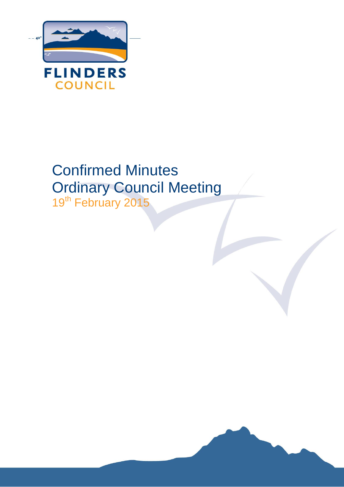

# Confirmed Minutes Ordinary Council Meeting

19<sup>th</sup> February 2015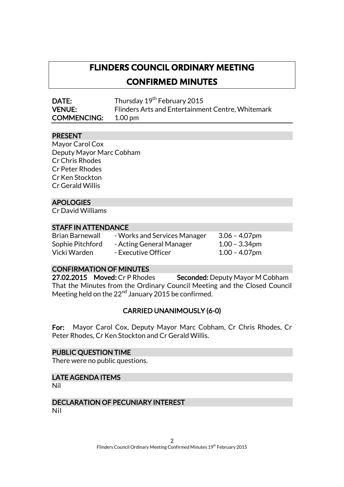# **FLINDERS COUNCIL ORDINARY MEETING CONFIRMED MINUTES**

DATE: Thursday 19<sup>th</sup> February 2015 VENUE: Flinders Arts and Entertainment Centre, Whitemark COMMENCING: 1.00 pm

#### PRESENT

Mayor Carol Cox Deputy Mayor Marc Cobham Cr Chris Rhodes Cr Peter Rhodes Cr Ken Stockton Cr Gerald Willis

# APOLOGIES

Cr David Williams

# STAFF IN ATTENDANCE

- Brian Barnewall Works and Services Manager 3.06 4.07pm Sophie Pitchford - Acting General Manager 1.00 - 3.34pm Vicki Warden - Executive Officer 1.00 - 4.07pm
	-

# CONFIRMATION OF MINUTES

27.02.2015 Moved: Cr P Rhodes Seconded: Deputy Mayor M Cobham That the Minutes from the Ordinary Council Meeting and the Closed Council Meeting held on the  $22<sup>nd</sup>$  January 2015 be confirmed.

# CARRIED UNANIMOUSLY (6-0)

For: Mayor Carol Cox, Deputy Mayor Marc Cobham, Cr Chris Rhodes, Cr Peter Rhodes, Cr Ken Stockton and Cr Gerald Willis.

# PUBLIC QUESTION TIME

There were no public questions.

# LATE AGENDA ITEMS

Nil

# DECLARATION OF PECUNIARY INTEREST

Nil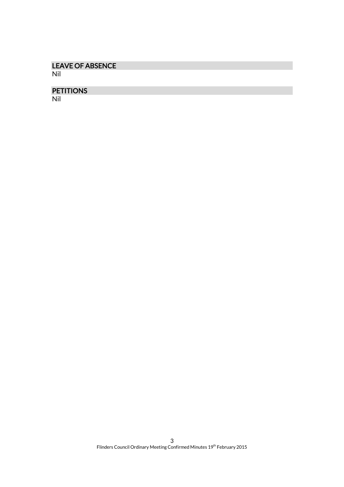# LEAVE OF ABSENCE

Nil

# PETITIONS

Nil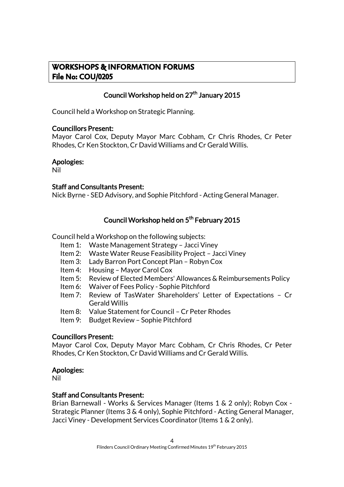# **WORKSHOPS & INFORMATION FORUMS File No: COU/0205**

# Council Workshop held on 27<sup>th</sup> January 2015

Council held a Workshop on Strategic Planning.

# Councillors Present:

Mayor Carol Cox, Deputy Mayor Marc Cobham, Cr Chris Rhodes, Cr Peter Rhodes, Cr Ken Stockton, Cr David Williams and Cr Gerald Willis.

# Apologies:

Nil

# Staff and Consultants Present:

Nick Byrne - SED Advisory, and Sophie Pitchford - Acting General Manager.

# Council Workshop held on 5<sup>th</sup> February 2015

Council held a Workshop on the following subjects:

- Item 1: Waste Management Strategy Jacci Viney
- Item 2: Waste Water Reuse Feasibility Project Jacci Viney
- Item 3: Lady Barron Port Concept Plan Robyn Cox
- Item 4: Housing Mayor Carol Cox
- Item 5: Review of Elected Members' Allowances & Reimbursements Policy
- Item 6: Waiver of Fees Policy Sophie Pitchford
- Item 7: Review of TasWater Shareholders' Letter of Expectations Cr Gerald Willis
- Item 8: Value Statement for Council Cr Peter Rhodes
- Item 9: Budget Review Sophie Pitchford

# Councillors Present:

Mayor Carol Cox, Deputy Mayor Marc Cobham, Cr Chris Rhodes, Cr Peter Rhodes, Cr Ken Stockton, Cr David Williams and Cr Gerald Willis.

# Apologies:

Nil

#### Staff and Consultants Present:

Brian Barnewall - Works & Services Manager (Items 1 & 2 only); Robyn Cox - Strategic Planner (Items 3 & 4 only), Sophie Pitchford - Acting General Manager, Jacci Viney - Development Services Coordinator (Items 1 & 2 only).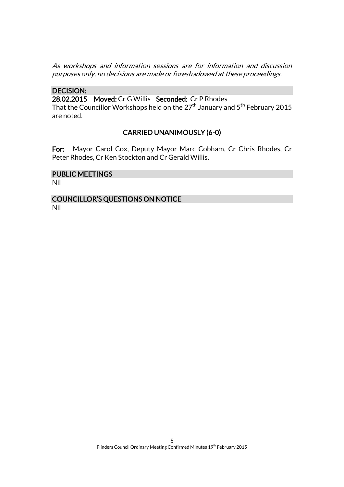As workshops and information sessions are for information and discussion purposes only, no decisions are made or foreshadowed at these proceedings.

### DECISION:

28.02.2015 Moved: Cr G Willis Seconded: Cr P Rhodes

That the Councillor Workshops held on the  $27<sup>th</sup>$  January and  $5<sup>th</sup>$  February 2015 are noted.

# CARRIED UNANIMOUSLY (6-0)

For: Mayor Carol Cox, Deputy Mayor Marc Cobham, Cr Chris Rhodes, Cr Peter Rhodes, Cr Ken Stockton and Cr Gerald Willis.

# PUBLIC MEETINGS

Nil

#### COUNCILLOR'S QUESTIONS ON NOTICE Nil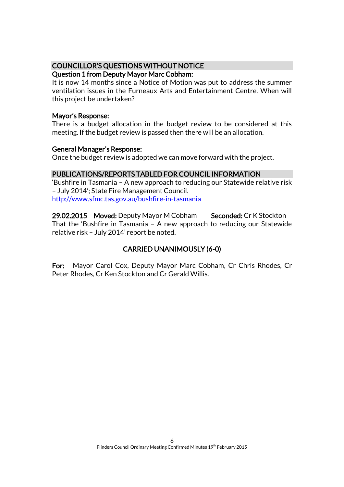# COUNCILLOR'S QUESTIONS WITHOUT NOTICE

# Question 1 from Deputy Mayor Marc Cobham:

It is now 14 months since a Notice of Motion was put to address the summer ventilation issues in the Furneaux Arts and Entertainment Centre. When will this project be undertaken?

# Mayor's Response:

There is a budget allocation in the budget review to be considered at this meeting. If the budget review is passed then there will be an allocation.

# General Manager's Response:

Once the budget review is adopted we can move forward with the project.

# PUBLICATIONS/REPORTS TABLED FOR COUNCIL INFORMATION

'Bushfire in Tasmania – A new approach to reducing our Statewide relative risk – July 2014'; State Fire Management Council. <http://www.sfmc.tas.gov.au/bushfire-in-tasmania>

29.02.2015 Moved: Deputy Mayor M Cobham Seconded: Cr K Stockton That the 'Bushfire in Tasmania – A new approach to reducing our Statewide relative risk – July 2014' report be noted.

# CARRIED UNANIMOUSLY (6-0)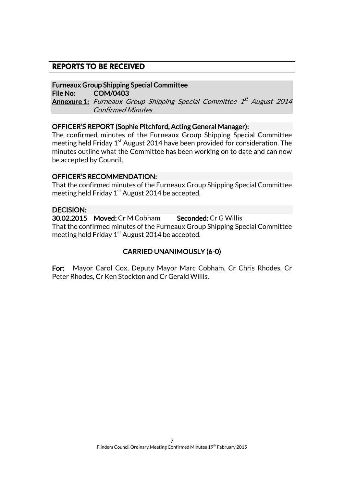# **REPORTS TO BE RECEIVED**

#### Furneaux Group Shipping Special Committee

File No: COM/0403

**Annexure 1:** Furneaux Group Shipping Special Committee 1<sup>st</sup> August 2014 Confirmed Minutes

#### OFFICER'S REPORT (Sophie Pitchford, Acting General Manager):

The confirmed minutes of the Furneaux Group Shipping Special Committee meeting held Friday  $1<sup>st</sup>$  August 2014 have been provided for consideration. The minutes outline what the Committee has been working on to date and can now be accepted by Council.

# OFFICER'S RECOMMENDATION:

That the confirmed minutes of the Furneaux Group Shipping Special Committee meeting held Friday  $1<sup>st</sup>$  August 2014 be accepted.

# DECISION:

30.02.2015 Moved: Cr M Cobham Seconded: Cr G Willis That the confirmed minutes of the Furneaux Group Shipping Special Committee meeting held Friday  $1<sup>st</sup>$  August 2014 be accepted.

# CARRIED UNANIMOUSLY (6-0)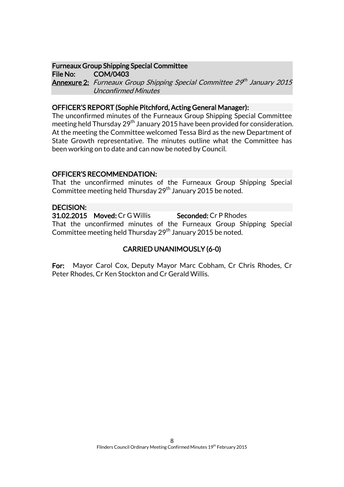# Furneaux Group Shipping Special Committee

File No: COM/0403 **Annexure 2:** Furneaux Group Shipping Special Committee 29th January 2015 Unconfirmed Minutes

# OFFICER'S REPORT (Sophie Pitchford, Acting General Manager):

The unconfirmed minutes of the Furneaux Group Shipping Special Committee meeting held Thursday 29<sup>th</sup> January 2015 have been provided for consideration. At the meeting the Committee welcomed Tessa Bird as the new Department of State Growth representative. The minutes outline what the Committee has been working on to date and can now be noted by Council.

# OFFICER'S RECOMMENDATION:

That the unconfirmed minutes of the Furneaux Group Shipping Special Committee meeting held Thursday 29<sup>th</sup> January 2015 be noted.

# DECISION:

31.02.2015 Moved: Cr G Willis Seconded: Cr P Rhodes That the unconfirmed minutes of the Furneaux Group Shipping Special Committee meeting held Thursday 29<sup>th</sup> January 2015 be noted.

# CARRIED UNANIMOUSLY (6-0)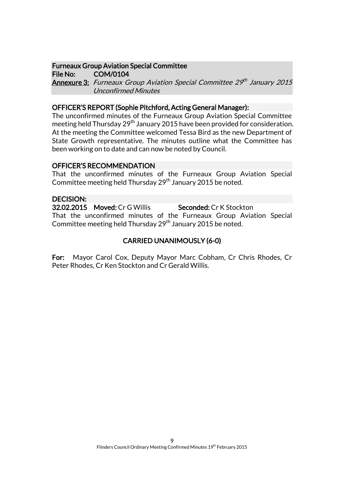# Furneaux Group Aviation Special Committee

File No: COM/0104 **Annexure 3:** Furneaux Group Aviation Special Committee 29th January 2015 Unconfirmed Minutes

# OFFICER'S REPORT (Sophie Pitchford, Acting General Manager):

The unconfirmed minutes of the Furneaux Group Aviation Special Committee meeting held Thursday 29<sup>th</sup> January 2015 have been provided for consideration. At the meeting the Committee welcomed Tessa Bird as the new Department of State Growth representative. The minutes outline what the Committee has been working on to date and can now be noted by Council.

#### OFFICER'S RECOMMENDATION

That the unconfirmed minutes of the Furneaux Group Aviation Special Committee meeting held Thursday 29<sup>th</sup> January 2015 be noted.

#### DECISION:

32.02.2015 Moved: Cr G Willis Seconded: Cr K Stockton That the unconfirmed minutes of the Furneaux Group Aviation Special Committee meeting held Thursday 29<sup>th</sup> January 2015 be noted.

# CARRIED UNANIMOUSLY (6-0)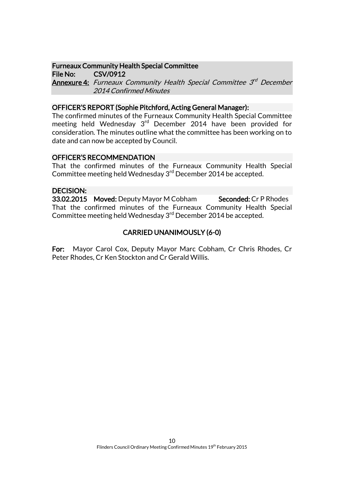### Furneaux Community Health Special Committee

File No: CSV/0912 **Annexure 4:** Furneaux Community Health Special Committee 3<sup>rd</sup> December 2014 Confirmed Minutes

# OFFICER'S REPORT (Sophie Pitchford, Acting General Manager):

The confirmed minutes of the Furneaux Community Health Special Committee meeting held Wednesday 3<sup>rd</sup> December 2014 have been provided for consideration. The minutes outline what the committee has been working on to date and can now be accepted by Council.

# OFFICER'S RECOMMENDATION

That the confirmed minutes of the Furneaux Community Health Special Committee meeting held Wednesday 3<sup>rd</sup> December 2014 be accepted.

# DECISION:

33.02.2015 Moved: Deputy Mayor M Cobham Seconded: Cr P Rhodes That the confirmed minutes of the Furneaux Community Health Special Committee meeting held Wednesday 3<sup>rd</sup> December 2014 be accepted.

# CARRIED UNANIMOUSLY (6-0)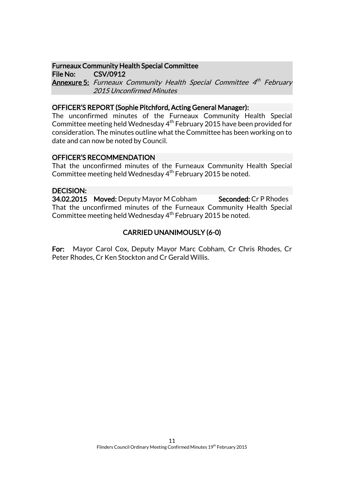### Furneaux Community Health Special Committee

File No: CSV/0912

**Annexure 5:** Furneaux Community Health Special Committee 4<sup>th</sup> February 2015 Unconfirmed Minutes

# OFFICER'S REPORT (Sophie Pitchford, Acting General Manager):

The unconfirmed minutes of the Furneaux Community Health Special Committee meeting held Wednesday  $4<sup>th</sup>$  February 2015 have been provided for consideration. The minutes outline what the Committee has been working on to date and can now be noted by Council.

# OFFICER'S RECOMMENDATION

That the unconfirmed minutes of the Furneaux Community Health Special Committee meeting held Wednesday 4<sup>th</sup> February 2015 be noted.

# DECISION:

34.02.2015 Moved: Deputy Mayor M Cobham Seconded: Cr P Rhodes That the unconfirmed minutes of the Furneaux Community Health Special Committee meeting held Wednesday  $4<sup>th</sup>$  February 2015 be noted.

# CARRIED UNANIMOUSLY (6-0)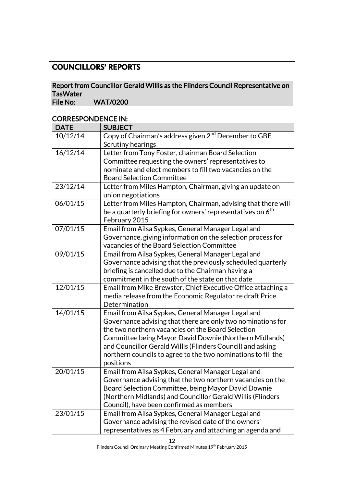# **COUNCILLORS' REPORTS**

# Report from Councillor Gerald Willis as the Flinders Council Representative on TasWater<br>File No:

WAT/0200

# CORRESPONDENCE IN:

| <b>DATE</b> | <b>SUBJECT</b>                                                                        |
|-------------|---------------------------------------------------------------------------------------|
| 10/12/14    | Copy of Chairman's address given 2 <sup>nd</sup> December to GBE<br>Scrutiny hearings |
| 16/12/14    | Letter from Tony Foster, chairman Board Selection                                     |
|             | Committee requesting the owners' representatives to                                   |
|             | nominate and elect members to fill two vacancies on the                               |
|             | <b>Board Selection Committee</b>                                                      |
| 23/12/14    | Letter from Miles Hampton, Chairman, giving an update on                              |
|             | union negotiations                                                                    |
| 06/01/15    | Letter from Miles Hampton, Chairman, advising that there will                         |
|             | be a quarterly briefing for owners' representatives on 6 <sup>th</sup>                |
|             | February 2015                                                                         |
| 07/01/15    | Email from Ailsa Sypkes, General Manager Legal and                                    |
|             | Governance, giving information on the selection process for                           |
|             | vacancies of the Board Selection Committee                                            |
| 09/01/15    | Email from Ailsa Sypkes, General Manager Legal and                                    |
|             | Governance advising that the previously scheduled quarterly                           |
|             | briefing is cancelled due to the Chairman having a                                    |
|             | commitment in the south of the state on that date                                     |
| 12/01/15    | Email from Mike Brewster, Chief Executive Office attaching a                          |
|             | media release from the Economic Regulator re draft Price<br>Determination             |
| 14/01/15    | Email from Ailsa Sypkes, General Manager Legal and                                    |
|             | Governance advising that there are only two nominations for                           |
|             | the two northern vacancies on the Board Selection                                     |
|             | Committee being Mayor David Downie (Northern Midlands)                                |
|             | and Councillor Gerald Willis (Flinders Council) and asking                            |
|             | northern councils to agree to the two nominations to fill the                         |
|             | positions                                                                             |
| 20/01/15    | Email from Ailsa Sypkes, General Manager Legal and                                    |
|             | Governance advising that the two northern vacancies on the                            |
|             | Board Selection Committee, being Mayor David Downie                                   |
|             | (Northern Midlands) and Councillor Gerald Willis (Flinders                            |
|             | Council), have been confirmed as members                                              |
| 23/01/15    | Email from Ailsa Sypkes, General Manager Legal and                                    |
|             | Governance advising the revised date of the owners'                                   |
|             | representatives as 4 February and attaching an agenda and                             |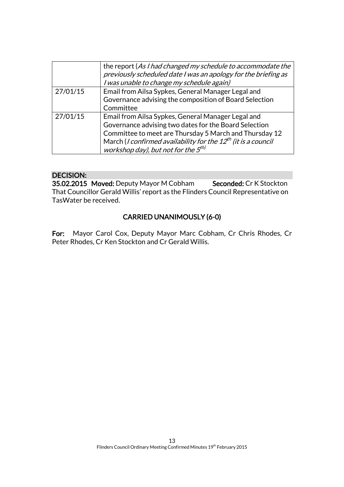|          | the report (As I had changed my schedule to accommodate the<br>previously scheduled date I was an apology for the briefing as<br>I was unable to change my schedule again)                                                                                                                                        |
|----------|-------------------------------------------------------------------------------------------------------------------------------------------------------------------------------------------------------------------------------------------------------------------------------------------------------------------|
| 27/01/15 | Email from Ailsa Sypkes, General Manager Legal and<br>Governance advising the composition of Board Selection<br>Committee                                                                                                                                                                                         |
| 27/01/15 | Email from Ailsa Sypkes, General Manager Legal and<br>Governance advising two dates for the Board Selection<br>Committee to meet are Thursday 5 March and Thursday 12<br>March ( <i>I confirmed availability for the <math>12^{th}</math> (it is a council</i><br>workshop day), but not for the 5 <sup>th)</sup> |

# DECISION:

35.02.2015 Moved: Deputy Mayor M Cobham Seconded: Cr K Stockton That Councillor Gerald Willis' report as the Flinders Council Representative on TasWater be received.

# CARRIED UNANIMOUSLY (6-0)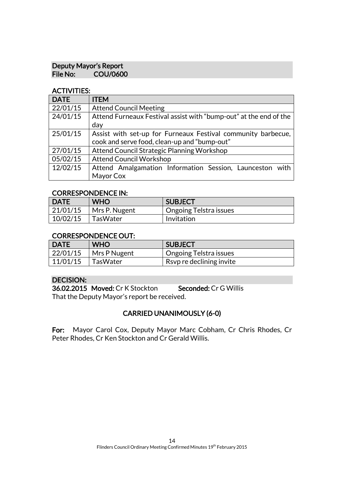# Deputy Mayor's Report<br>File No: COU/060 COU/0600

# ACTIVITIES:

| <b>DATE</b> | <b>ITEM</b>                                                       |  |  |
|-------------|-------------------------------------------------------------------|--|--|
| 22/01/15    | <b>Attend Council Meeting</b>                                     |  |  |
| 24/01/15    | Attend Furneaux Festival assist with "bump-out" at the end of the |  |  |
|             | day                                                               |  |  |
| 25/01/15    | Assist with set-up for Furneaux Festival community barbecue,      |  |  |
|             | cook and serve food, clean-up and "bump-out"                      |  |  |
| 27/01/15    | Attend Council Strategic Planning Workshop                        |  |  |
| 05/02/15    | <b>Attend Council Workshop</b>                                    |  |  |
| 12/02/15    | Attend Amalgamation Information Session, Launceston with          |  |  |
|             | Mayor Cox                                                         |  |  |

#### CORRESPONDENCE IN:

| <b>DATE</b> | <b>WHO</b>    | <b>SUBJECT</b>           |
|-------------|---------------|--------------------------|
| 21/01/15    | Mrs P. Nugent | ' Ongoing Telstra issues |
| 10/02/15    | TasWater      | Invitation               |

# CORRESPONDENCE OUT:

| <b>DATE</b> | <b>WHO</b>   | SUBJECT                               |
|-------------|--------------|---------------------------------------|
| 22/01/15    | Mrs P Nugent | <u>l</u> Ongoing Telstra issues       |
| 11/01/15    | ∣ TasWater   | $\mathsf{I}$ Rsvp re declining invite |

# DECISION:

36.02.2015 Moved: Cr K Stockton Seconded: Cr G Willis That the Deputy Mayor's report be received.

# CARRIED UNANIMOUSLY (6-0)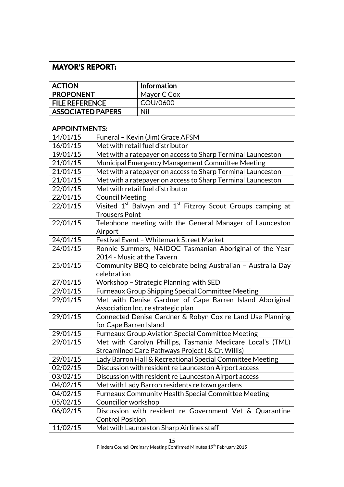# **MAYOR'S REPORT:**

| <b>ACTION</b>            | <b>Information</b> |
|--------------------------|--------------------|
| <b>PROPONENT</b>         | Mayor C Cox        |
| <b>FILE REFERENCE</b>    | COU/0600           |
| <b>ASSOCIATED PAPERS</b> | Nil                |

# APPOINTMENTS:

| 14/01/15 | Funeral - Kevin (Jim) Grace AFSM                                                   |  |  |
|----------|------------------------------------------------------------------------------------|--|--|
| 16/01/15 | Met with retail fuel distributor                                                   |  |  |
| 19/01/15 | Met with a ratepayer on access to Sharp Terminal Launceston                        |  |  |
| 21/01/15 | Municipal Emergency Management Committee Meeting                                   |  |  |
| 21/01/15 | Met with a ratepayer on access to Sharp Terminal Launceston                        |  |  |
| 21/01/15 | Met with a ratepayer on access to Sharp Terminal Launceston                        |  |  |
| 22/01/15 | Met with retail fuel distributor                                                   |  |  |
| 22/01/15 | <b>Council Meeting</b>                                                             |  |  |
| 22/01/15 | Visited 1 <sup>st</sup> Balwyn and 1 <sup>st</sup> Fitzroy Scout Groups camping at |  |  |
|          | <b>Trousers Point</b>                                                              |  |  |
| 22/01/15 | Telephone meeting with the General Manager of Launceston                           |  |  |
|          | Airport                                                                            |  |  |
| 24/01/15 | Festival Event - Whitemark Street Market                                           |  |  |
| 24/01/15 | Ronnie Summers, NAIDOC Tasmanian Aboriginal of the Year                            |  |  |
|          | 2014 - Music at the Tavern                                                         |  |  |
| 25/01/15 | Community BBQ to celebrate being Australian - Australia Day                        |  |  |
|          | celebration                                                                        |  |  |
| 27/01/15 | Workshop - Strategic Planning with SED                                             |  |  |
| 29/01/15 | Furneaux Group Shipping Special Committee Meeting                                  |  |  |
| 29/01/15 | Met with Denise Gardner of Cape Barren Island Aboriginal                           |  |  |
|          | Association Inc. re strategic plan                                                 |  |  |
| 29/01/15 | Connected Denise Gardner & Robyn Cox re Land Use Planning                          |  |  |
|          | for Cape Barren Island                                                             |  |  |
| 29/01/15 | <b>Furneaux Group Aviation Special Committee Meeting</b>                           |  |  |
| 29/01/15 | Met with Carolyn Phillips, Tasmania Medicare Local's (TML)                         |  |  |
|          | Streamlined Care Pathways Project (& Cr. Willis)                                   |  |  |
| 29/01/15 | Lady Barron Hall & Recreational Special Committee Meeting                          |  |  |
| 02/02/15 | Discussion with resident re Launceston Airport access                              |  |  |
| 03/02/15 | Discussion with resident re Launceston Airport access                              |  |  |
| 04/02/15 | Met with Lady Barron residents re town gardens                                     |  |  |
| 04/02/15 | Furneaux Community Health Special Committee Meeting                                |  |  |
| 05/02/15 | Councillor workshop                                                                |  |  |
| 06/02/15 | Discussion with resident re Government Vet & Quarantine                            |  |  |
|          | <b>Control Position</b>                                                            |  |  |
| 11/02/15 | Met with Launceston Sharp Airlines staff                                           |  |  |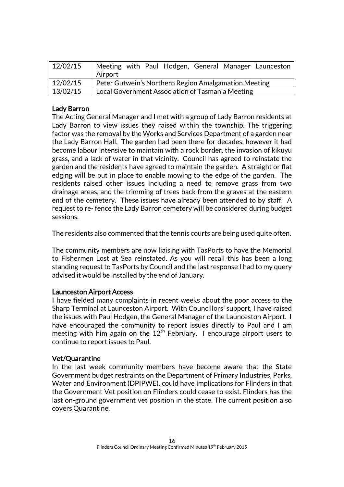| 12/02/15 | Meeting with Paul Hodgen, General Manager Launceston<br>Airport |  |  |
|----------|-----------------------------------------------------------------|--|--|
| 12/02/15 | Peter Gutwein's Northern Region Amalgamation Meeting            |  |  |
| 13/02/15 | Local Government Association of Tasmania Meeting                |  |  |

# Lady Barron

The Acting General Manager and I met with a group of Lady Barron residents at Lady Barron to view issues they raised within the township. The triggering factor was the removal by the Works and Services Department of a garden near the Lady Barron Hall. The garden had been there for decades, however it had become labour intensive to maintain with a rock border, the invasion of kikuyu grass, and a lack of water in that vicinity. Council has agreed to reinstate the garden and the residents have agreed to maintain the garden. A straight or flat edging will be put in place to enable mowing to the edge of the garden. The residents raised other issues including a need to remove grass from two drainage areas, and the trimming of trees back from the graves at the eastern end of the cemetery. These issues have already been attended to by staff. A request to re- fence the Lady Barron cemetery will be considered during budget sessions.

The residents also commented that the tennis courts are being used quite often.

The community members are now liaising with TasPorts to have the Memorial to Fishermen Lost at Sea reinstated. As you will recall this has been a long standing request to TasPorts by Council and the last response I had to my query advised it would be installed by the end of January.

# Launceston Airport Access

I have fielded many complaints in recent weeks about the poor access to the Sharp Terminal at Launceston Airport. With Councillors' support, I have raised the issues with Paul Hodgen, the General Manager of the Launceston Airport. I have encouraged the community to report issues directly to Paul and I am meeting with him again on the  $12<sup>th</sup>$  February. I encourage airport users to continue to report issues to Paul.

# Vet/Quarantine

In the last week community members have become aware that the State Government budget restraints on the Department of Primary Industries, Parks, Water and Environment (DPIPWE), could have implications for Flinders in that the Government Vet position on Flinders could cease to exist. Flinders has the last on-ground government vet position in the state. The current position also covers Quarantine.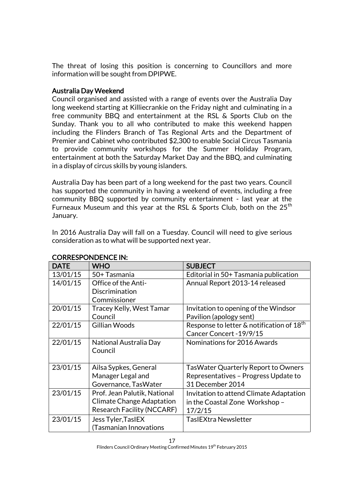The threat of losing this position is concerning to Councillors and more information will be sought from DPIPWE.

# Australia Day Weekend

Council organised and assisted with a range of events over the Australia Day long weekend starting at Killiecrankie on the Friday night and culminating in a free community BBQ and entertainment at the RSL & Sports Club on the Sunday. Thank you to all who contributed to make this weekend happen including the Flinders Branch of Tas Regional Arts and the Department of Premier and Cabinet who contributed \$2,300 to enable Social Circus Tasmania to provide community workshops for the Summer Holiday Program, entertainment at both the Saturday Market Day and the BBQ, and culminating in a display of circus skills by young islanders.

Australia Day has been part of a long weekend for the past two years. Council has supported the community in having a weekend of events, including a free community BBQ supported by community entertainment - last year at the Furneaux Museum and this year at the RSL & Sports Club, both on the  $25<sup>th</sup>$ January.

In 2016 Australia Day will fall on a Tuesday. Council will need to give serious consideration as to what will be supported next year.

| <b>DATE</b> | <b>WHO</b>                        | <b>SUBJECT</b>                                        |
|-------------|-----------------------------------|-------------------------------------------------------|
| 13/01/15    | 50+ Tasmania                      | Editorial in 50+ Tasmania publication                 |
| 14/01/15    | Office of the Anti-               | Annual Report 2013-14 released                        |
|             | Discrimination                    |                                                       |
|             | Commissioner                      |                                                       |
| 20/01/15    | Tracey Kelly, West Tamar          | Invitation to opening of the Windsor                  |
|             | Council                           | Pavilion (apology sent)                               |
| 22/01/15    | Gillian Woods                     | Response to letter & notification of 18 <sup>th</sup> |
|             |                                   | Cancer Concert - 19/9/15                              |
| 22/01/15    | National Australia Day            | Nominations for 2016 Awards                           |
|             | Council                           |                                                       |
|             |                                   |                                                       |
| 23/01/15    | Ailsa Sypkes, General             | <b>TasWater Quarterly Report to Owners</b>            |
|             | Manager Legal and                 | Representatives - Progress Update to                  |
|             | Governance, TasWater              | 31 December 2014                                      |
| 23/01/15    | Prof. Jean Palutik, National      | Invitation to attend Climate Adaptation               |
|             | Climate Change Adaptation         | in the Coastal Zone Workshop -                        |
|             | <b>Research Facility (NCCARF)</b> | 17/2/15                                               |
| 23/01/15    | Jess Tyler, TaslEX                | TasIEXtra Newsletter                                  |
|             | <b>Tasmanian Innovations</b>      |                                                       |

# CORRESPONDENCE IN: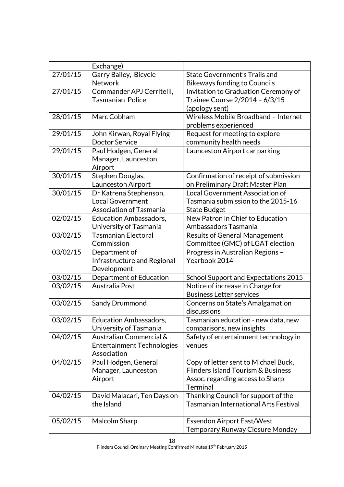|          | Exchange)                                 |                                                                                     |
|----------|-------------------------------------------|-------------------------------------------------------------------------------------|
| 27/01/15 | Garry Bailey, Bicycle                     | State Government's Trails and                                                       |
|          | Network                                   | <b>Bikeways funding to Councils</b>                                                 |
| 27/01/15 | Commander APJ Cerritelli,                 | Invitation to Graduation Ceremony of                                                |
|          | <b>Tasmanian Police</b>                   | Trainee Course 2/2014 - 6/3/15                                                      |
|          |                                           | (apology sent)                                                                      |
| 28/01/15 | Marc Cobham                               | Wireless Mobile Broadband - Internet                                                |
|          |                                           | problems experienced                                                                |
| 29/01/15 | John Kirwan, Royal Flying                 | Request for meeting to explore                                                      |
|          | <b>Doctor Service</b>                     | community health needs                                                              |
| 29/01/15 | Paul Hodgen, General                      | Launceston Airport car parking                                                      |
|          | Manager, Launceston                       |                                                                                     |
|          | Airport                                   |                                                                                     |
| 30/01/15 | Stephen Douglas,                          | Confirmation of receipt of submission                                               |
|          | Launceston Airport                        | on Preliminary Draft Master Plan                                                    |
| 30/01/15 | Dr Katrena Stephenson,                    | Local Government Association of                                                     |
|          | <b>Local Government</b>                   | Tasmania submission to the 2015-16                                                  |
|          | <b>Association of Tasmania</b>            | <b>State Budget</b>                                                                 |
| 02/02/15 | <b>Education Ambassadors,</b>             | New Patron in Chief to Education                                                    |
|          | University of Tasmania                    | Ambassadors Tasmania                                                                |
| 03/02/15 | <b>Tasmanian Electoral</b>                | <b>Results of General Management</b>                                                |
|          | Commission                                | Committee (GMC) of LGAT election                                                    |
| 03/02/15 | Department of                             | Progress in Australian Regions -                                                    |
|          | Infrastructure and Regional               | Yearbook 2014                                                                       |
|          | Development                               |                                                                                     |
| 03/02/15 | Department of Education                   | School Support and Expectations 2015                                                |
| 03/02/15 | Australia Post                            | Notice of increase in Charge for                                                    |
|          |                                           | <b>Business Letter services</b>                                                     |
| 03/02/15 | Sandy Drummond                            | Concerns on State's Amalgamation                                                    |
|          |                                           | discussions                                                                         |
| 03/02/15 | <b>Education Ambassadors,</b>             | Tasmanian education - new data, new                                                 |
|          | University of Tasmania                    | comparisons, new insights                                                           |
| 04/02/15 | Australian Commercial &                   | Safety of entertainment technology in                                               |
|          | <b>Entertainment Technologies</b>         | venues                                                                              |
|          | Association                               |                                                                                     |
| 04/02/15 | Paul Hodgen, General                      | Copy of letter sent to Michael Buck,                                                |
|          | Manager, Launceston                       | <b>Flinders Island Tourism &amp; Business</b>                                       |
|          | Airport                                   | Assoc. regarding access to Sharp<br>Terminal                                        |
|          |                                           |                                                                                     |
| 04/02/15 | David Malacari, Ten Days on<br>the Island | Thanking Council for support of the<br><b>Tasmanian International Arts Festival</b> |
|          |                                           |                                                                                     |
| 05/02/15 | Malcolm Sharp                             | <b>Essendon Airport East/West</b>                                                   |
|          |                                           | Temporary Runway Closure Monday                                                     |
|          |                                           |                                                                                     |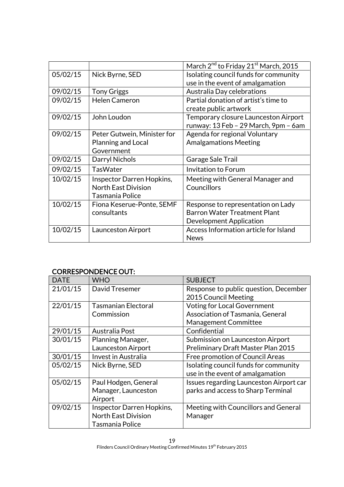|          |                             | March 2 <sup>nd</sup> to Friday 21 <sup>st</sup> March, 2015 |
|----------|-----------------------------|--------------------------------------------------------------|
| 05/02/15 | Nick Byrne, SED             | Isolating council funds for community                        |
|          |                             | use in the event of amalgamation                             |
| 09/02/15 | <b>Tony Griggs</b>          | Australia Day celebrations                                   |
| 09/02/15 | <b>Helen Cameron</b>        | Partial donation of artist's time to                         |
|          |                             | create public artwork                                        |
| 09/02/15 | John Loudon                 | Temporary closure Launceston Airport                         |
|          |                             | runway: 13 Feb - 29 March, 9pm - 6am                         |
| 09/02/15 | Peter Gutwein, Minister for | Agenda for regional Voluntary                                |
|          | Planning and Local          | <b>Amalgamations Meeting</b>                                 |
|          | Government                  |                                                              |
| 09/02/15 | Darryl Nichols              | Garage Sale Trail                                            |
| 09/02/15 | <b>TasWater</b>             | <b>Invitation to Forum</b>                                   |
| 10/02/15 | Inspector Darren Hopkins,   | Meeting with General Manager and                             |
|          | <b>North East Division</b>  | Councillors                                                  |
|          | <b>Tasmania Police</b>      |                                                              |
| 10/02/15 | Fiona Keserue-Ponte, SEMF   | Response to representation on Lady                           |
|          | consultants                 | <b>Barron Water Treatment Plant</b>                          |
|          |                             | Development Application                                      |
| 10/02/15 | Launceston Airport          | Access Information article for Island                        |
|          |                             | <b>News</b>                                                  |

# CORRESPONDENCE OUT:

| <b>DATE</b> | <b>WHO</b>                 | <b>SUBJECT</b>                                                            |
|-------------|----------------------------|---------------------------------------------------------------------------|
| 21/01/15    | David Tresemer             | Response to public question, December<br>2015 Council Meeting             |
| 22/01/15    | <b>Tasmanian Electoral</b> | <b>Voting for Local Government</b>                                        |
|             | Commission                 | Association of Tasmania, General                                          |
|             |                            | <b>Management Committee</b>                                               |
| 29/01/15    | Australia Post             | Confidential                                                              |
| 30/01/15    | Planning Manager,          | Submission on Launceston Airport                                          |
|             | Launceston Airport         | Preliminary Draft Master Plan 2015                                        |
| 30/01/15    | Invest in Australia        | Free promotion of Council Areas                                           |
| 05/02/15    | Nick Byrne, SED            | Isolating council funds for community<br>use in the event of amalgamation |
| 05/02/15    | Paul Hodgen, General       | Issues regarding Launceston Airport car                                   |
|             | Manager, Launceston        | parks and access to Sharp Terminal                                        |
|             | Airport                    |                                                                           |
| 09/02/15    | Inspector Darren Hopkins,  | Meeting with Councillors and General                                      |
|             | <b>North East Division</b> | Manager                                                                   |
|             | Tasmania Police            |                                                                           |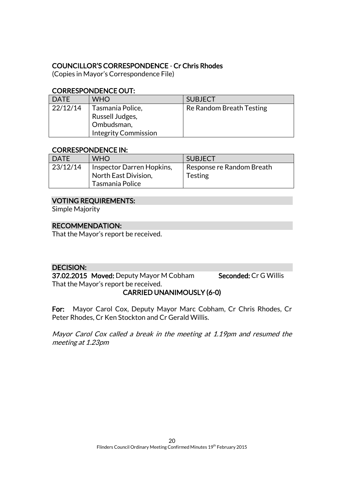# COUNCILLOR'S CORRESPONDENCE - Cr Chris Rhodes

(Copies in Mayor's Correspondence File)

# CORRESPONDENCE OUT:

| <b>DATE</b> | <b>WHO</b>                                                                       | <b>SUBJECT</b>           |
|-------------|----------------------------------------------------------------------------------|--------------------------|
| 22/12/14    | Tasmania Police,<br>Russell Judges,<br>Ombudsman,<br><b>Integrity Commission</b> | Re Random Breath Testing |

# CORRESPONDENCE IN:

| <b>DATE</b> | <b>WHO</b>                                                           | <b>SUBJECT</b>                              |
|-------------|----------------------------------------------------------------------|---------------------------------------------|
| 23/12/14    | Inspector Darren Hopkins,<br>North East Division,<br>Tasmania Police | Response re Random Breath<br><b>Testing</b> |

# VOTING REQUIREMENTS:

Simple Majority

# RECOMMENDATION:

That the Mayor's report be received.

# DECISION:

37.02.2015 Moved: Deputy Mayor M Cobham Seconded: Cr G Willis That the Mayor's report be received.

# CARRIED UNANIMOUSLY (6-0)

For: Mayor Carol Cox, Deputy Mayor Marc Cobham, Cr Chris Rhodes, Cr Peter Rhodes, Cr Ken Stockton and Cr Gerald Willis.

Mayor Carol Cox called a break in the meeting at 1.19pm and resumed the meeting at 1.23pm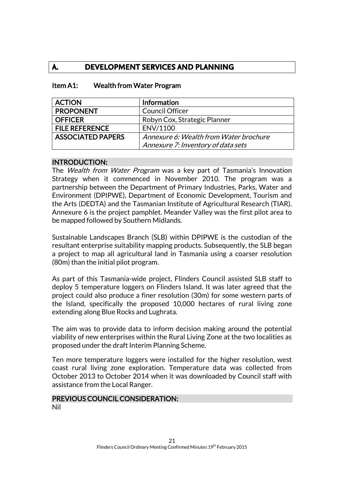# **A. DEVELOPMENT SERVICES AND PLANNING**

| <b>ACTION</b>            | Information                            |
|--------------------------|----------------------------------------|
| <b>PROPONENT</b>         | <b>Council Officer</b>                 |
| <b>OFFICER</b>           | Robyn Cox, Strategic Planner           |
| <b>FILE REFERENCE</b>    | ENV/1100                               |
| <b>ASSOCIATED PAPERS</b> | Annexure 6: Wealth from Water brochure |
|                          | Annexure 7: Inventory of data sets     |

### Item A1: Wealth from Water Program

#### INTRODUCTION:

The *Wealth from Water Program* was a key part of Tasmania's Innovation Strategy when it commenced in November 2010. The program was a partnership between the Department of Primary Industries, Parks, Water and Environment (DPIPWE), Department of Economic Development, Tourism and the Arts (DEDTA) and the Tasmanian Institute of Agricultural Research (TIAR). Annexure 6 is the project pamphlet. Meander Valley was the first pilot area to be mapped followed by Southern Midlands.

Sustainable Landscapes Branch (SLB) within DPIPWE is the custodian of the resultant enterprise suitability mapping products. Subsequently, the SLB began a project to map all agricultural land in Tasmania using a coarser resolution (80m) than the initial pilot program.

As part of this Tasmania-wide project, Flinders Council assisted SLB staff to deploy 5 temperature loggers on Flinders Island. It was later agreed that the project could also produce a finer resolution (30m) for some western parts of the Island, specifically the proposed 10,000 hectares of rural living zone extending along Blue Rocks and Lughrata.

The aim was to provide data to inform decision making around the potential viability of new enterprises within the Rural Living Zone at the two localities as proposed under the draft Interim Planning Scheme.

Ten more temperature loggers were installed for the higher resolution, west coast rural living zone exploration. Temperature data was collected from October 2013 to October 2014 when it was downloaded by Council staff with assistance from the Local Ranger.

#### PREVIOUS COUNCIL CONSIDERATION: Nil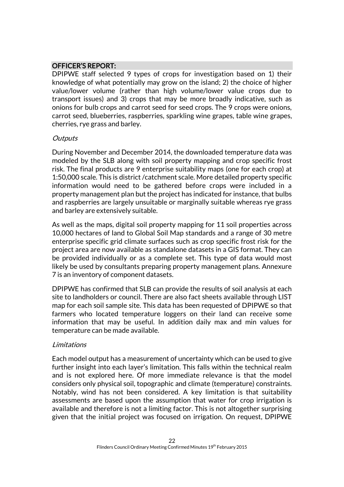# OFFICER'S REPORT:

DPIPWE staff selected 9 types of crops for investigation based on 1) their knowledge of what potentially may grow on the island; 2) the choice of higher value/lower volume (rather than high volume/lower value crops due to transport issues) and 3) crops that may be more broadly indicative, such as onions for bulb crops and carrot seed for seed crops. The 9 crops were onions, carrot seed, blueberries, raspberries, sparkling wine grapes, table wine grapes, cherries, rye grass and barley.

#### **Outputs**

During November and December 2014, the downloaded temperature data was modeled by the SLB along with soil property mapping and crop specific frost risk. The final products are 9 enterprise suitability maps (one for each crop) at 1:50,000 scale. This is district /catchment scale. More detailed property specific information would need to be gathered before crops were included in a property management plan but the project has indicated for instance, that bulbs and raspberries are largely unsuitable or marginally suitable whereas rye grass and barley are extensively suitable.

As well as the maps, digital soil property mapping for 11 soil properties across 10,000 hectares of land to Global Soil Map standards and a range of 30 metre enterprise specific grid climate surfaces such as crop specific frost risk for the project area are now available as standalone datasets in a GIS format. They can be provided individually or as a complete set. This type of data would most likely be used by consultants preparing property management plans. Annexure 7 is an inventory of component datasets.

DPIPWE has confirmed that SLB can provide the results of soil analysis at each site to landholders or council. There are also fact sheets available through LIST map for each soil sample site. This data has been requested of DPIPWE so that farmers who located temperature loggers on their land can receive some information that may be useful. In addition daily max and min values for temperature can be made available.

#### Limitations

Each model output has a measurement of uncertainty which can be used to give further insight into each layer's limitation. This falls within the technical realm and is not explored here. Of more immediate relevance is that the model considers only physical soil, topographic and climate (temperature) constraints. Notably, wind has not been considered. A key limitation is that suitability assessments are based upon the assumption that water for crop irrigation is available and therefore is not a limiting factor. This is not altogether surprising given that the initial project was focused on irrigation. On request, DPIPWE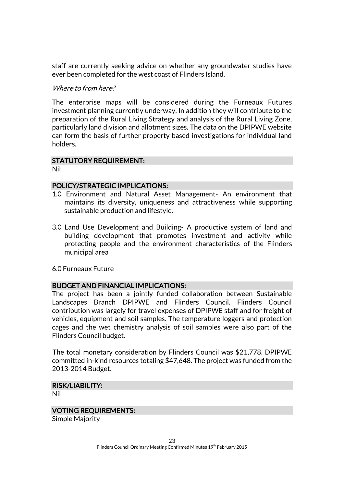staff are currently seeking advice on whether any groundwater studies have ever been completed for the west coast of Flinders Island.

#### Where to from here?

The enterprise maps will be considered during the Furneaux Futures investment planning currently underway. In addition they will contribute to the preparation of the Rural Living Strategy and analysis of the Rural Living Zone, particularly land division and allotment sizes. The data on the DPIPWE website can form the basis of further property based investigations for individual land holders.

# STATUTORY REQUIREMENT:

Nil

#### POLICY/STRATEGIC IMPLICATIONS:

- 1.0 Environment and Natural Asset Management- An environment that maintains its diversity, uniqueness and attractiveness while supporting sustainable production and lifestyle.
- 3.0 Land Use Development and Building- A productive system of land and building development that promotes investment and activity while protecting people and the environment characteristics of the Flinders municipal area

6.0 Furneaux Future

# BUDGET AND FINANCIAL IMPLICATIONS:

The project has been a jointly funded collaboration between Sustainable Landscapes Branch DPIPWE and Flinders Council. Flinders Council contribution was largely for travel expenses of DPIPWE staff and for freight of vehicles, equipment and soil samples. The temperature loggers and protection cages and the wet chemistry analysis of soil samples were also part of the Flinders Council budget.

The total monetary consideration by Flinders Council was \$21,778. DPIPWE committed in-kind resources totaling \$47,648. The project was funded from the 2013-2014 Budget.

#### RISK/LIABILITY:

Nil

#### VOTING REQUIREMENTS:

Simple Majority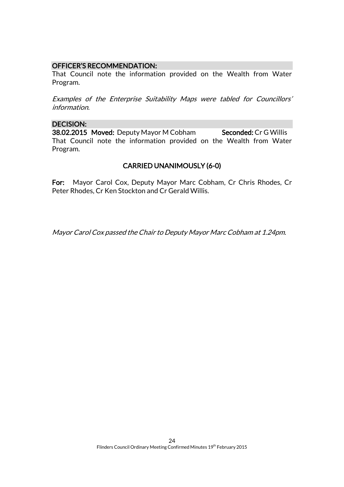#### OFFICER'S RECOMMENDATION:

That Council note the information provided on the Wealth from Water Program.

Examples of the Enterprise Suitability Maps were tabled for Councillors' information.

#### DECISION:

38.02.2015 Moved: Deputy Mayor M Cobham Seconded: Cr G Willis That Council note the information provided on the Wealth from Water Program.

# CARRIED UNANIMOUSLY (6-0)

For: Mayor Carol Cox, Deputy Mayor Marc Cobham, Cr Chris Rhodes, Cr Peter Rhodes, Cr Ken Stockton and Cr Gerald Willis.

Mayor Carol Cox passed the Chair to Deputy Mayor Marc Cobham at 1.24pm.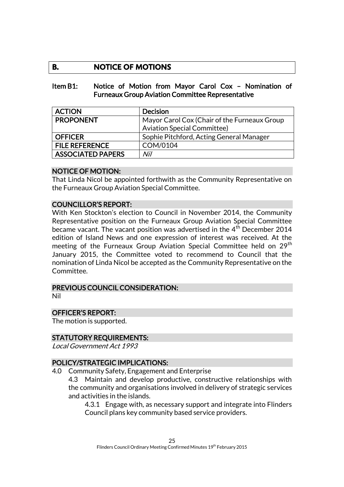# **B. NOTICE OF MOTIONS**

#### Item B1: Notice of Motion from Mayor Carol Cox – Nomination of Furneaux Group Aviation Committee Representative

| <b>ACTION</b>            | <b>Decision</b>                              |  |
|--------------------------|----------------------------------------------|--|
| <b>PROPONENT</b>         | Mayor Carol Cox (Chair of the Furneaux Group |  |
|                          | <b>Aviation Special Committee)</b>           |  |
| <b>OFFICER</b>           | Sophie Pitchford, Acting General Manager     |  |
| <b>FILE REFERENCE</b>    | COM/0104                                     |  |
| <b>ASSOCIATED PAPERS</b> | Nil                                          |  |

#### NOTICE OF MOTION:

That Linda Nicol be appointed forthwith as the Community Representative on the Furneaux Group Aviation Special Committee.

# COUNCILLOR'S REPORT:

With Ken Stockton's election to Council in November 2014, the Community Representative position on the Furneaux Group Aviation Special Committee became vacant. The vacant position was advertised in the  $4<sup>th</sup>$  December 2014 edition of Island News and one expression of interest was received. At the meeting of the Furneaux Group Aviation Special Committee held on 29<sup>th</sup> January 2015, the Committee voted to recommend to Council that the nomination of Linda Nicol be accepted as the Community Representative on the Committee.

#### PREVIOUS COUNCIL CONSIDERATION:

Nil

# OFFICER'S REPORT:

The motion is supported.

# STATUTORY REQUIREMENTS:

Local Government Act 1993

# POLICY/STRATEGIC IMPLICATIONS:

4.0 Community Safety, Engagement and Enterprise

4.3 Maintain and develop productive, constructive relationships with the community and organisations involved in delivery of strategic services and activities in the islands.

4.3.1 Engage with, as necessary support and integrate into Flinders Council plans key community based service providers.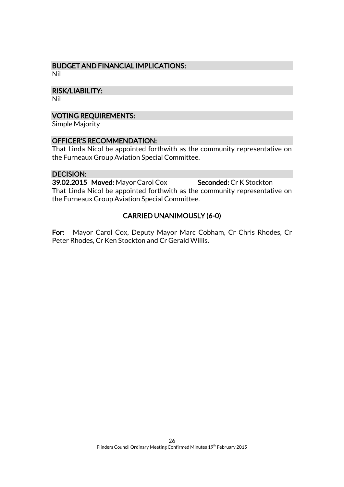#### BUDGET AND FINANCIAL IMPLICATIONS: Nil

RISK/LIABILITY:

Nil

# VOTING REQUIREMENTS:

Simple Majority

# OFFICER'S RECOMMENDATION:

That Linda Nicol be appointed forthwith as the community representative on the Furneaux Group Aviation Special Committee.

# DECISION:

39.02.2015 Moved: Mayor Carol Cox Seconded: Cr K Stockton That Linda Nicol be appointed forthwith as the community representative on the Furneaux Group Aviation Special Committee.

# CARRIED UNANIMOUSLY (6-0)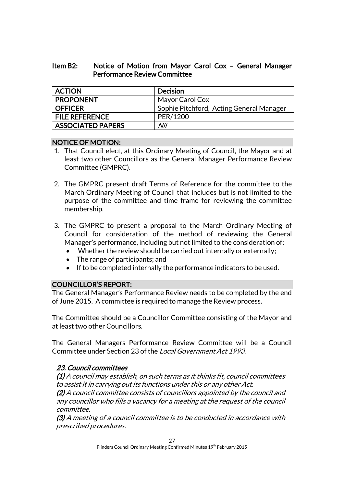# Item B2: Notice of Motion from Mayor Carol Cox – General Manager Performance Review Committee

| <b>ACTION</b>            | Decision                                 |
|--------------------------|------------------------------------------|
| <b>PROPONENT</b>         | Mayor Carol Cox                          |
| OFFICER                  | Sophie Pitchford, Acting General Manager |
| <b>FILE REFERENCE</b>    | PER/1200                                 |
| <b>ASSOCIATED PAPERS</b> | Nil                                      |

# NOTICE OF MOTION:

- 1. That Council elect, at this Ordinary Meeting of Council, the Mayor and at least two other Councillors as the General Manager Performance Review Committee (GMPRC).
- 2. The GMPRC present draft Terms of Reference for the committee to the March Ordinary Meeting of Council that includes but is not limited to the purpose of the committee and time frame for reviewing the committee membership.
- 3. The GMPRC to present a proposal to the March Ordinary Meeting of Council for consideration of the method of reviewing the General Manager's performance, including but not limited to the consideration of:
	- Whether the review should be carried out internally or externally;
	- The range of participants; and
	- If to be completed internally the performance indicators to be used.

# COUNCILLOR'S REPORT:

The General Manager's Performance Review needs to be completed by the end of June 2015. A committee is required to manage the Review process.

The Committee should be a Councillor Committee consisting of the Mayor and at least two other Councillors.

The General Managers Performance Review Committee will be a Council Committee under Section 23 of the Local Government Act 1993.

# 23. Council committees

(1) A council may establish, on such terms as it thinks fit, council committees to assist it in carrying out its functions under this or any other Act. (2) A council committee consists of councillors appointed by the council and any councillor who fills a vacancy for a meeting at the request of the council committee.

(3) A meeting of a council committee is to be conducted in accordance with prescribed procedures.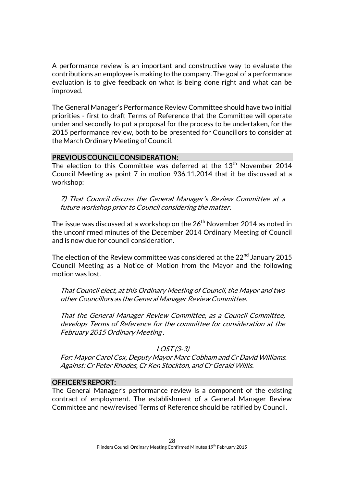A performance review is an important and constructive way to evaluate the contributions an employee is making to the company. The goal of a performance evaluation is to give feedback on what is being done right and what can be improved.

The General Manager's Performance Review Committee should have two initial priorities - first to draft Terms of Reference that the Committee will operate under and secondly to put a proposal for the process to be undertaken, for the 2015 performance review, both to be presented for Councillors to consider at the March Ordinary Meeting of Council.

#### PREVIOUS COUNCIL CONSIDERATION:

The election to this Committee was deferred at the  $13<sup>th</sup>$  November 2014 Council Meeting as point 7 in motion 936.11.2014 that it be discussed at a workshop:

7) That Council discuss the General Manager's Review Committee at a future workshop prior to Council considering the matter.

The issue was discussed at a workshop on the  $26<sup>th</sup>$  November 2014 as noted in the unconfirmed minutes of the December 2014 Ordinary Meeting of Council and is now due for council consideration.

The election of the Review committee was considered at the  $22<sup>nd</sup>$  January 2015 Council Meeting as a Notice of Motion from the Mayor and the following motion was lost.

That Council elect, at this Ordinary Meeting of Council, the Mayor and two other Councillors as the General Manager Review Committee.

That the General Manager Review Committee, as a Council Committee, develops Terms of Reference for the committee for consideration at the February 2015 Ordinary Meeting .

#### LOST (3-3)

For: Mayor Carol Cox, Deputy Mayor Marc Cobham and Cr David Williams. Against: Cr Peter Rhodes, Cr Ken Stockton, and Cr Gerald Willis.

#### OFFICER'S REPORT:

The General Manager's performance review is a component of the existing contract of employment. The establishment of a General Manager Review Committee and new/revised Terms of Reference should be ratified by Council.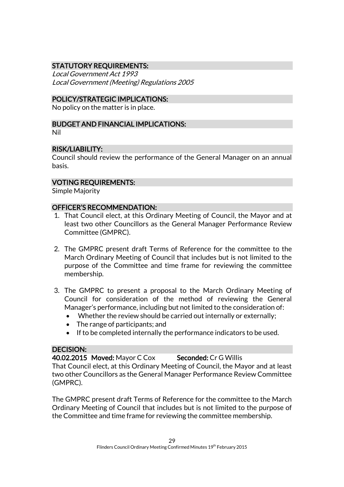# STATUTORY REQUIREMENTS:

Local Government Act 1993 Local Government (Meeting) Regulations 2005

# POLICY/STRATEGIC IMPLICATIONS:

No policy on the matter is in place.

# BUDGET AND FINANCIAL IMPLICATIONS:

Nil

# RISK/LIABILITY:

Council should review the performance of the General Manager on an annual basis.

# VOTING REQUIREMENTS:

Simple Majority

# OFFICER'S RECOMMENDATION:

- 1. That Council elect, at this Ordinary Meeting of Council, the Mayor and at least two other Councillors as the General Manager Performance Review Committee (GMPRC).
- 2. The GMPRC present draft Terms of Reference for the committee to the March Ordinary Meeting of Council that includes but is not limited to the purpose of the Committee and time frame for reviewing the committee membership.
- 3. The GMPRC to present a proposal to the March Ordinary Meeting of Council for consideration of the method of reviewing the General Manager's performance, including but not limited to the consideration of:
	- Whether the review should be carried out internally or externally;
	- The range of participants; and
	- If to be completed internally the performance indicators to be used.

#### DECISION:

40.02.2015 Moved: Mayor C Cox Seconded: Cr G Willis That Council elect, at this Ordinary Meeting of Council, the Mayor and at least two other Councillors as the General Manager Performance Review Committee (GMPRC).

The GMPRC present draft Terms of Reference for the committee to the March Ordinary Meeting of Council that includes but is not limited to the purpose of the Committee and time frame for reviewing the committee membership.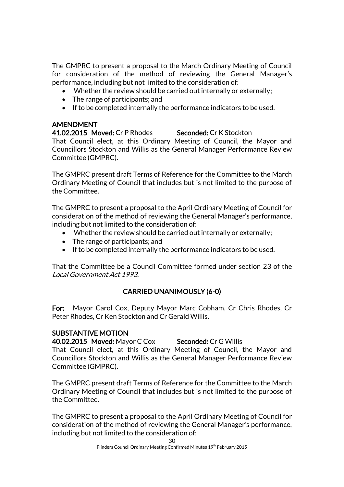The GMPRC to present a proposal to the March Ordinary Meeting of Council for consideration of the method of reviewing the General Manager's performance, including but not limited to the consideration of:

- Whether the review should be carried out internally or externally;
- The range of participants; and
- If to be completed internally the performance indicators to be used.

# AMENDMENT

41.02.2015 Moved: Cr P Rhodes Seconded: Cr K Stockton That Council elect, at this Ordinary Meeting of Council, the Mayor and Councillors Stockton and Willis as the General Manager Performance Review Committee (GMPRC).

The GMPRC present draft Terms of Reference for the Committee to the March Ordinary Meeting of Council that includes but is not limited to the purpose of the Committee.

The GMPRC to present a proposal to the April Ordinary Meeting of Council for consideration of the method of reviewing the General Manager's performance, including but not limited to the consideration of:

- Whether the review should be carried out internally or externally;
- The range of participants; and
- If to be completed internally the performance indicators to be used.

That the Committee be a Council Committee formed under section 23 of the Local Government Act 1993.

# CARRIED UNANIMOUSLY (6-0)

For: Mayor Carol Cox, Deputy Mayor Marc Cobham, Cr Chris Rhodes, Cr Peter Rhodes, Cr Ken Stockton and Cr Gerald Willis.

# SUBSTANTIVE MOTION

40.02.2015 Moved: Mayor C Cox Seconded: Cr G Willis

That Council elect, at this Ordinary Meeting of Council, the Mayor and Councillors Stockton and Willis as the General Manager Performance Review Committee (GMPRC).

The GMPRC present draft Terms of Reference for the Committee to the March Ordinary Meeting of Council that includes but is not limited to the purpose of the Committee.

The GMPRC to present a proposal to the April Ordinary Meeting of Council for consideration of the method of reviewing the General Manager's performance, including but not limited to the consideration of: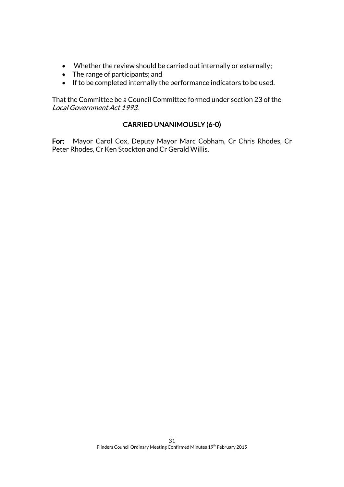- Whether the review should be carried out internally or externally;
- The range of participants; and
- If to be completed internally the performance indicators to be used.

That the Committee be a Council Committee formed under section 23 of the Local Government Act 1993.

# CARRIED UNANIMOUSLY (6-0)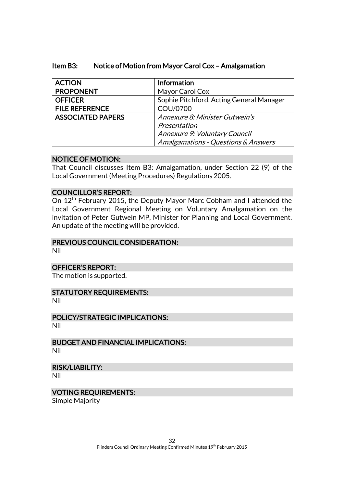| <b>ACTION</b>            | Information                              |  |
|--------------------------|------------------------------------------|--|
| <b>PROPONENT</b>         | Mayor Carol Cox                          |  |
| <b>OFFICER</b>           | Sophie Pitchford, Acting General Manager |  |
| <b>FILE REFERENCE</b>    | COU/0700                                 |  |
| <b>ASSOCIATED PAPERS</b> | Annexure 8: Minister Gutwein's           |  |
|                          | Presentation                             |  |
|                          | Annexure 9: Voluntary Council            |  |
|                          | Amalgamations - Questions & Answers      |  |

# Item B3: Notice of Motion from Mayor Carol Cox – Amalgamation

# NOTICE OF MOTION:

That Council discusses Item B3: Amalgamation, under Section 22 (9) of the Local Government (Meeting Procedures) Regulations 2005.

# COUNCILLOR'S REPORT:

On 12<sup>th</sup> February 2015, the Deputy Mayor Marc Cobham and I attended the Local Government Regional Meeting on Voluntary Amalgamation on the invitation of Peter Gutwein MP, Minister for Planning and Local Government. An update of the meeting will be provided.

### PREVIOUS COUNCIL CONSIDERATION:

Nil

#### OFFICER'S REPORT:

The motion is supported.

# STATUTORY REQUIREMENTS:

Nil

#### POLICY/STRATEGIC IMPLICATIONS: Nil

BUDGET AND FINANCIAL IMPLICATIONS: Nil

#### RISK/LIABILITY:

Nil

# VOTING REQUIREMENTS:

Simple Majority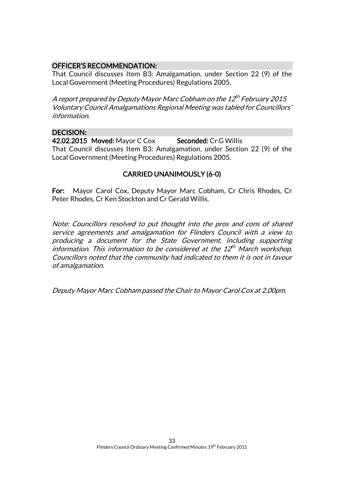# OFFICER'S RECOMMENDATION:

That Council discusses Item B3: Amalgamation, under Section 22 (9) of the Local Government (Meeting Procedures) Regulations 2005.

A report prepared by Deputy Mayor Marc Cobham on the 12<sup>th</sup> February 2015 Voluntary Council Amalgamations Regional Meeting was tabled for Councillors' information.

# DECISION:

42.02.2015 Moved: Mayor C Cox Seconded: Cr G Willis That Council discusses Item B3: Amalgamation, under Section 22 (9) of the Local Government (Meeting Procedures) Regulations 2005.

# CARRIED UNANIMOUSLY (6-0)

For: Mayor Carol Cox, Deputy Mayor Marc Cobham, Cr Chris Rhodes, Cr Peter Rhodes, Cr Ken Stockton and Cr Gerald Willis.

Note: Councillors resolved to put thought into the pros and cons of shared service agreements and amalgamation for Flinders Council with a view to producing a document for the State Government, including supporting information. This information to be considered at the 12 $^{\rm th}$  March workshop. Councillors noted that the community had indicated to them it is not in favour of amalgamation.

Deputy Mayor Marc Cobham passed the Chair to Mayor Carol Cox at 2.00pm.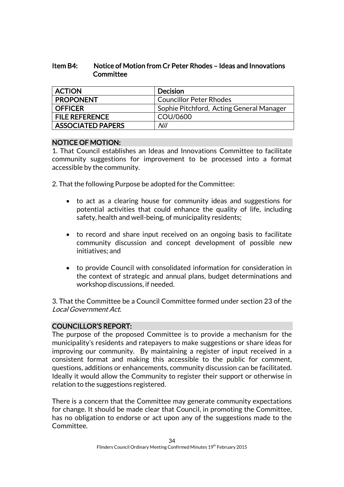# Item B4: Notice of Motion from Cr Peter Rhodes – Ideas and Innovations **Committee**

| <b>ACTION</b>            | Decision                                 |
|--------------------------|------------------------------------------|
| <b>PROPONENT</b>         | <b>Councillor Peter Rhodes</b>           |
| <b>OFFICER</b>           | Sophie Pitchford, Acting General Manager |
| <b>FILE REFERENCE</b>    | COU/0600                                 |
| <b>ASSOCIATED PAPERS</b> | Nil                                      |

# NOTICE OF MOTION:

1. That Council establishes an Ideas and Innovations Committee to facilitate community suggestions for improvement to be processed into a format accessible by the community.

2. That the following Purpose be adopted for the Committee:

- to act as a clearing house for community ideas and suggestions for potential activities that could enhance the quality of life, including safety, health and well-being, of municipality residents;
- to record and share input received on an ongoing basis to facilitate community discussion and concept development of possible new initiatives; and
- to provide Council with consolidated information for consideration in the context of strategic and annual plans, budget determinations and workshop discussions, if needed.

3. That the Committee be a Council Committee formed under section 23 of the Local Government Act.

# COUNCILLOR'S REPORT:

The purpose of the proposed Committee is to provide a mechanism for the municipality's residents and ratepayers to make suggestions or share ideas for improving our community. By maintaining a register of input received in a consistent format and making this accessible to the public for comment, questions, additions or enhancements, community discussion can be facilitated. Ideally it would allow the Community to register their support or otherwise in relation to the suggestions registered.

There is a concern that the Committee may generate community expectations for change. It should be made clear that Council, in promoting the Committee, has no obligation to endorse or act upon any of the suggestions made to the Committee.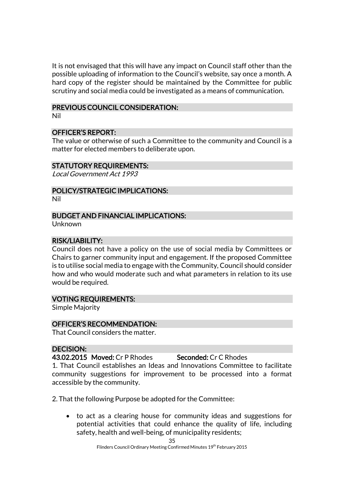It is not envisaged that this will have any impact on Council staff other than the possible uploading of information to the Council's website, say once a month. A hard copy of the register should be maintained by the Committee for public scrutiny and social media could be investigated as a means of communication.

#### PREVIOUS COUNCIL CONSIDERATION:

Nil

#### OFFICER'S REPORT:

The value or otherwise of such a Committee to the community and Council is a matter for elected members to deliberate upon.

#### STATUTORY REQUIREMENTS:

Local Government Act 1993

# POLICY/STRATEGIC IMPLICATIONS:

Nil

#### BUDGET AND FINANCIAL IMPLICATIONS:

Unknown

#### RISK/LIABILITY:

Council does not have a policy on the use of social media by Committees or Chairs to garner community input and engagement. If the proposed Committee is to utilise social media to engage with the Community, Council should consider how and who would moderate such and what parameters in relation to its use would be required.

#### VOTING REQUIREMENTS:

Simple Majority

#### OFFICER'S RECOMMENDATION:

That Council considers the matter.

#### DECISION:

43.02.2015 Moved: Cr P Rhodes Seconded: Cr C Rhodes

1. That Council establishes an Ideas and Innovations Committee to facilitate community suggestions for improvement to be processed into a format accessible by the community.

2. That the following Purpose be adopted for the Committee:

 to act as a clearing house for community ideas and suggestions for potential activities that could enhance the quality of life, including safety, health and well-being, of municipality residents;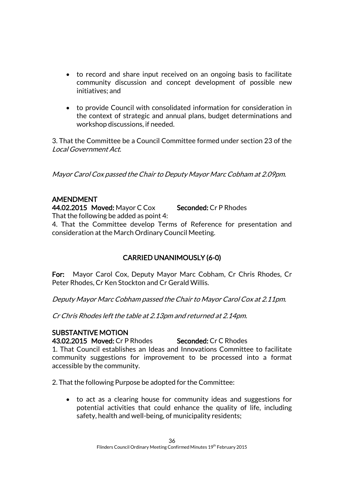- to record and share input received on an ongoing basis to facilitate community discussion and concept development of possible new initiatives; and
- to provide Council with consolidated information for consideration in the context of strategic and annual plans, budget determinations and workshop discussions, if needed.

3. That the Committee be a Council Committee formed under section 23 of the Local Government Act.

Mayor Carol Cox passed the Chair to Deputy Mayor Marc Cobham at 2.09pm.

# AMENDMENT

44.02.2015 Moved: Mayor C Cox Seconded: Cr P Rhodes

That the following be added as point 4:

4. That the Committee develop Terms of Reference for presentation and consideration at the March Ordinary Council Meeting.

# CARRIED UNANIMOUSLY (6-0)

For: Mayor Carol Cox, Deputy Mayor Marc Cobham, Cr Chris Rhodes, Cr Peter Rhodes, Cr Ken Stockton and Cr Gerald Willis.

Deputy Mayor Marc Cobham passed the Chair to Mayor Carol Cox at 2.11pm.

Cr Chris Rhodes left the table at 2.13pm and returned at 2.14pm.

# SUBSTANTIVE MOTION

43.02.2015 Moved: Cr P Rhodes Seconded: Cr C Rhodes

1. That Council establishes an Ideas and Innovations Committee to facilitate community suggestions for improvement to be processed into a format accessible by the community.

2. That the following Purpose be adopted for the Committee:

 to act as a clearing house for community ideas and suggestions for potential activities that could enhance the quality of life, including safety, health and well-being, of municipality residents;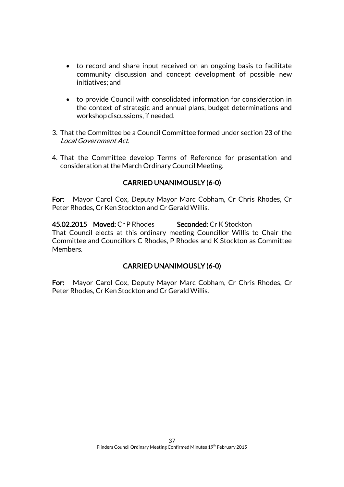- to record and share input received on an ongoing basis to facilitate community discussion and concept development of possible new initiatives; and
- to provide Council with consolidated information for consideration in the context of strategic and annual plans, budget determinations and workshop discussions, if needed.
- 3. That the Committee be a Council Committee formed under section 23 of the Local Government Act.
- 4. That the Committee develop Terms of Reference for presentation and consideration at the March Ordinary Council Meeting.

# CARRIED UNANIMOUSLY (6-0)

For: Mayor Carol Cox, Deputy Mayor Marc Cobham, Cr Chris Rhodes, Cr Peter Rhodes, Cr Ken Stockton and Cr Gerald Willis.

45.02.2015 Moved: Cr P Rhodes Seconded: Cr K Stockton That Council elects at this ordinary meeting Councillor Willis to Chair the Committee and Councillors C Rhodes, P Rhodes and K Stockton as Committee Members.

# CARRIED UNANIMOUSLY (6-0)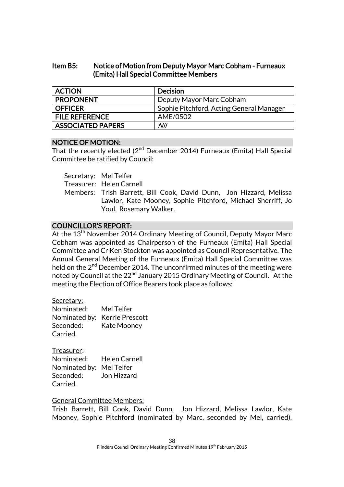# Item B5: Notice of Motion from Deputy Mayor Marc Cobham - Furneaux (Emita) Hall Special Committee Members

| <b>ACTION</b>            | <b>Decision</b>                          |
|--------------------------|------------------------------------------|
| <b>PROPONENT</b>         | Deputy Mayor Marc Cobham                 |
| <b>OFFICER</b>           | Sophie Pitchford, Acting General Manager |
| <b>FILE REFERENCE</b>    | AME/0502                                 |
| <b>ASSOCIATED PAPERS</b> | Nil                                      |

#### NOTICE OF MOTION:

That the recently elected (2<sup>nd</sup> December 2014) Furneaux (Emita) Hall Special Committee be ratified by Council:

Secretary: Mel Telfer

Treasurer: Helen Carnell

Members: Trish Barrett, Bill Cook, David Dunn, Jon Hizzard, Melissa Lawlor, Kate Mooney, Sophie Pitchford, Michael Sherriff, Jo Youl, Rosemary Walker.

# COUNCILLOR'S REPORT:

At the 13<sup>th</sup> November 2014 Ordinary Meeting of Council, Deputy Mayor Marc Cobham was appointed as Chairperson of the Furneaux (Emita) Hall Special Committee and Cr Ken Stockton was appointed as Council Representative. The Annual General Meeting of the Furneaux (Emita) Hall Special Committee was held on the  $2<sup>nd</sup>$  December 2014. The unconfirmed minutes of the meeting were noted by Council at the 22<sup>nd</sup> January 2015 Ordinary Meeting of Council. At the meeting the Election of Office Bearers took place as follows:

#### Secretary:

| Nominated: | Mel Telfer                    |
|------------|-------------------------------|
|            | Nominated by: Kerrie Prescott |
| Seconded:  | Kate Mooney                   |
| Carried.   |                               |

Treasurer: Nominated: Helen Carnell Nominated by: Mel Telfer Seconded: Jon Hizzard Carried.

# General Committee Members:

Trish Barrett, Bill Cook, David Dunn, Jon Hizzard, Melissa Lawlor, Kate Mooney, Sophie Pitchford (nominated by Marc, seconded by Mel, carried),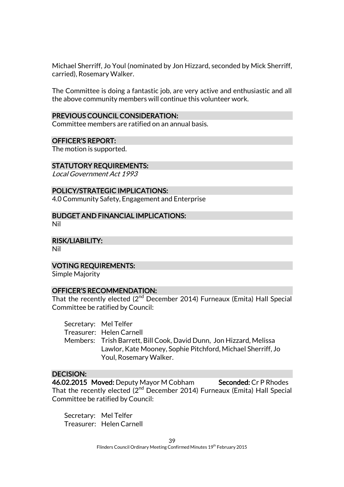Michael Sherriff, Jo Youl (nominated by Jon Hizzard, seconded by Mick Sherriff, carried), Rosemary Walker.

The Committee is doing a fantastic job, are very active and enthusiastic and all the above community members will continue this volunteer work.

#### PREVIOUS COUNCIL CONSIDERATION:

Committee members are ratified on an annual basis.

#### OFFICER'S REPORT:

The motion is supported.

#### STATUTORY REQUIREMENTS:

Local Government Act 1993

#### POLICY/STRATEGIC IMPLICATIONS:

4.0 Community Safety, Engagement and Enterprise

BUDGET AND FINANCIAL IMPLICATIONS: Nil

RISK/LIABILITY:

Nil

#### VOTING REQUIREMENTS:

Simple Majority

#### OFFICER'S RECOMMENDATION:

That the recently elected (2<sup>nd</sup> December 2014) Furneaux (Emita) Hall Special Committee be ratified by Council:

Secretary: Mel Telfer

Treasurer: Helen Carnell

Members: Trish Barrett, Bill Cook, David Dunn, Jon Hizzard, Melissa Lawlor, Kate Mooney, Sophie Pitchford, Michael Sherriff, Jo Youl, Rosemary Walker.

#### DECISION:

46.02.2015 Moved: Deputy Mayor M Cobham Seconded: Cr P Rhodes That the recently elected (2 $^{\text{nd}}$  December 2014) Furneaux (Emita) Hall Special Committee be ratified by Council:

Secretary: Mel Telfer Treasurer: Helen Carnell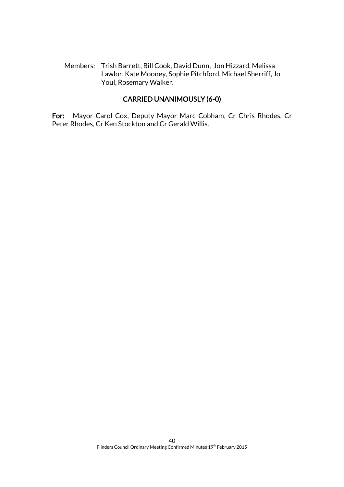Members: Trish Barrett, Bill Cook, David Dunn, Jon Hizzard, Melissa Lawlor, Kate Mooney, Sophie Pitchford, Michael Sherriff, Jo Youl, Rosemary Walker.

# CARRIED UNANIMOUSLY (6-0)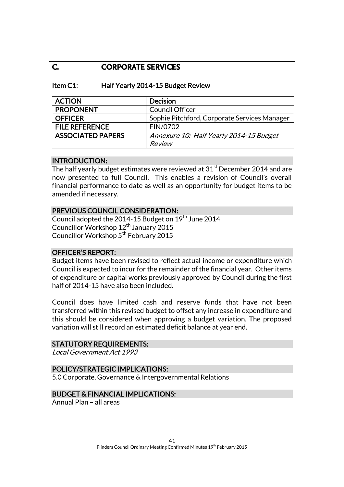# **C. CORPORATE SERVICES**

### Item C1: Half Yearly 2014-15 Budget Review

| <b>ACTION</b>            | <b>Decision</b>                              |
|--------------------------|----------------------------------------------|
| <b>PROPONENT</b>         | <b>Council Officer</b>                       |
| <b>OFFICER</b>           | Sophie Pitchford, Corporate Services Manager |
| <b>FILE REFERENCE</b>    | FIN/0702                                     |
| <b>ASSOCIATED PAPERS</b> | Annexure 10: Half Yearly 2014-15 Budget      |
|                          | Review                                       |

#### INTRODUCTION:

The half yearly budget estimates were reviewed at 31<sup>st</sup> December 2014 and are now presented to full Council. This enables a revision of Council's overall financial performance to date as well as an opportunity for budget items to be amended if necessary.

# PREVIOUS COUNCIL CONSIDERATION:

Council adopted the 2014-15 Budget on 19<sup>th</sup> June 2014 Councillor Workshop 12<sup>th</sup> January 2015 Councillor Workshop 5<sup>th</sup> February 2015

#### OFFICER'S REPORT:

Budget items have been revised to reflect actual income or expenditure which Council is expected to incur for the remainder of the financial year. Other items of expenditure or capital works previously approved by Council during the first half of 2014-15 have also been included.

Council does have limited cash and reserve funds that have not been transferred within this revised budget to offset any increase in expenditure and this should be considered when approving a budget variation. The proposed variation will still record an estimated deficit balance at year end.

#### STATUTORY REQUIREMENTS:

Local Government Act 1993

#### POLICY/STRATEGIC IMPLICATIONS:

5.0 Corporate, Governance & Intergovernmental Relations

#### BUDGET & FINANCIAL IMPLICATIONS:

Annual Plan – all areas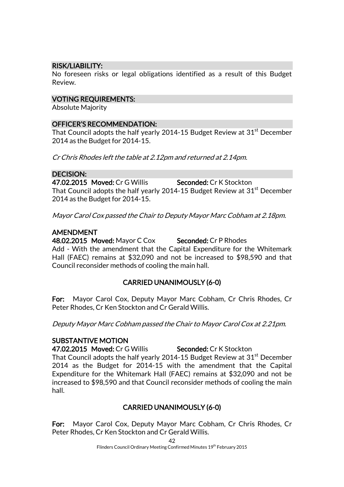# RISK/LIABILITY:

No foreseen risks or legal obligations identified as a result of this Budget Review.

# VOTING REQUIREMENTS:

Absolute Majority

# OFFICER'S RECOMMENDATION:

That Council adopts the half yearly 2014-15 Budget Review at  $31<sup>st</sup>$  December 2014 as the Budget for 2014-15.

Cr Chris Rhodes left the table at 2.12pm and returned at 2.14pm.

# DECISION:

47.02.2015 Moved: Cr G Willis Seconded: Cr K Stockton That Council adopts the half yearly 2014-15 Budget Review at  $31<sup>st</sup>$  December 2014 as the Budget for 2014-15.

Mayor Carol Cox passed the Chair to Deputy Mayor Marc Cobham at 2.18pm.

# AMENDMENT

48.02.2015 Moved: Mayor C Cox Seconded: Cr P Rhodes Add - With the amendment that the Capital Expenditure for the Whitemark Hall (FAEC) remains at \$32,090 and not be increased to \$98,590 and that Council reconsider methods of cooling the main hall.

# CARRIED UNANIMOUSLY (6-0)

For: Mayor Carol Cox, Deputy Mayor Marc Cobham, Cr Chris Rhodes, Cr Peter Rhodes, Cr Ken Stockton and Cr Gerald Willis.

Deputy Mayor Marc Cobham passed the Chair to Mayor Carol Cox at 2.21pm.

# SUBSTANTIVE MOTION

47.02.2015 Moved: Cr G Willis Seconded: Cr K Stockton

That Council adopts the half yearly 2014-15 Budget Review at  $31<sup>st</sup>$  December 2014 as the Budget for 2014-15 with the amendment that the Capital Expenditure for the Whitemark Hall (FAEC) remains at \$32,090 and not be increased to \$98,590 and that Council reconsider methods of cooling the main hall.

# CARRIED UNANIMOUSLY (6-0)

For: Mayor Carol Cox, Deputy Mayor Marc Cobham, Cr Chris Rhodes, Cr Peter Rhodes, Cr Ken Stockton and Cr Gerald Willis.

42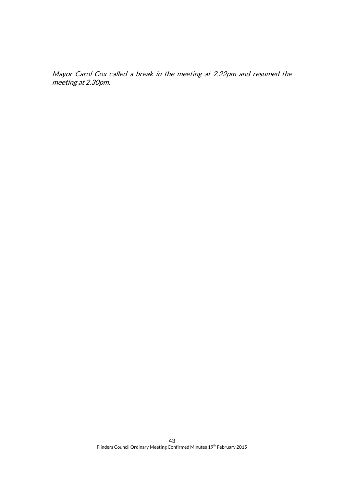Mayor Carol Cox called a break in the meeting at 2.22pm and resumed the meeting at 2.30pm.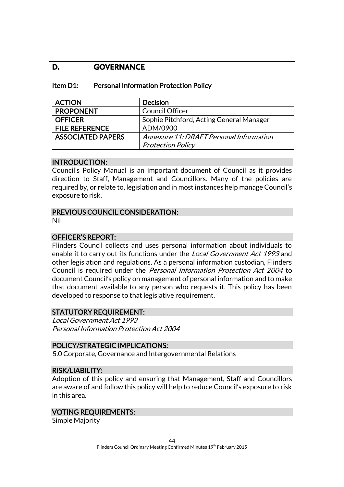# **D. GOVERNANCE**

| Item D1: |  | <b>Personal Information Protection Policy</b> |  |  |
|----------|--|-----------------------------------------------|--|--|
|----------|--|-----------------------------------------------|--|--|

| <b>ACTION</b>            | <b>Decision</b>                          |
|--------------------------|------------------------------------------|
| <b>PROPONENT</b>         | <b>Council Officer</b>                   |
| <b>OFFICER</b>           | Sophie Pitchford, Acting General Manager |
| <b>FILE REFERENCE</b>    | ADM/0900                                 |
| <b>ASSOCIATED PAPERS</b> | Annexure 11: DRAFT Personal Information  |
|                          | <b>Protection Policy</b>                 |

#### INTRODUCTION:

Council's Policy Manual is an important document of Council as it provides direction to Staff, Management and Councillors. Many of the policies are required by, or relate to, legislation and in most instances help manage Council's exposure to risk.

#### PREVIOUS COUNCIL CONSIDERATION:

Nil

# OFFICER'S REPORT:

Flinders Council collects and uses personal information about individuals to enable it to carry out its functions under the *Local Government Act 1993* and other legislation and regulations. As a personal information custodian, Flinders Council is required under the Personal Information Protection Act 2004 to document Council's policy on management of personal information and to make that document available to any person who requests it. This policy has been developed to response to that legislative requirement.

#### STATUTORY REQUIREMENT:

Local Government Act 1993 Personal Information Protection Act 2004

#### POLICY/STRATEGIC IMPLICATIONS:

5.0 Corporate, Governance and Intergovernmental Relations

#### RISK/LIABILITY:

Adoption of this policy and ensuring that Management, Staff and Councillors are aware of and follow this policy will help to reduce Council's exposure to risk in this area.

#### VOTING REQUIREMENTS:

Simple Majority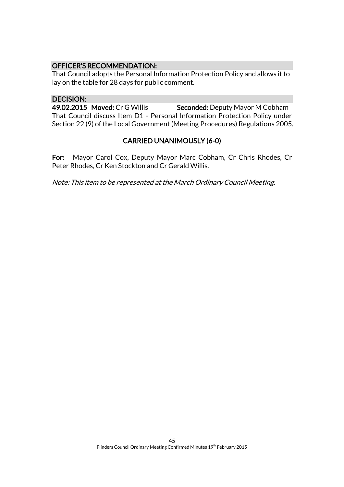# OFFICER'S RECOMMENDATION:

That Council adopts the Personal Information Protection Policy and allows it to lay on the table for 28 days for public comment.

# DECISION:

49.02.2015 Moved: Cr G Willis Seconded: Deputy Mayor M Cobham That Council discuss Item D1 - Personal Information Protection Policy under Section 22 (9) of the Local Government (Meeting Procedures) Regulations 2005.

# CARRIED UNANIMOUSLY (6-0)

For: Mayor Carol Cox, Deputy Mayor Marc Cobham, Cr Chris Rhodes, Cr Peter Rhodes, Cr Ken Stockton and Cr Gerald Willis.

Note: This item to be represented at the March Ordinary Council Meeting.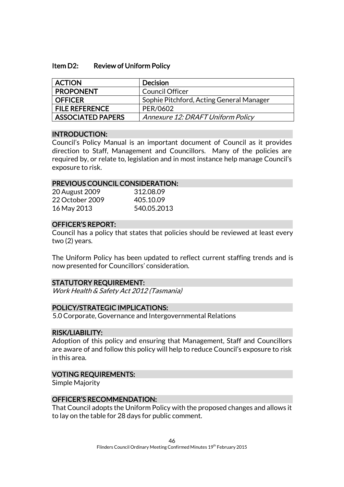#### Item D2: Review of Uniform Policy

| <b>ACTION</b>         | <b>Decision</b>                          |
|-----------------------|------------------------------------------|
| <b>PROPONENT</b>      | Council Officer                          |
| <b>OFFICER</b>        | Sophie Pitchford, Acting General Manager |
| <b>FILE REFERENCE</b> | PER/0602                                 |
| ASSOCIATED PAPERS     | Annexure 12: DRAFT Uniform Policy        |

#### INTRODUCTION:

Council's Policy Manual is an important document of Council as it provides direction to Staff, Management and Councillors. Many of the policies are required by, or relate to, legislation and in most instance help manage Council's exposure to risk.

#### PREVIOUS COUNCIL CONSIDERATION:

| 20 August 2009  | 312.08.09   |
|-----------------|-------------|
| 22 October 2009 | 405.10.09   |
| 16 May 2013     | 540.05.2013 |

#### OFFICER'S REPORT:

Council has a policy that states that policies should be reviewed at least every two (2) years.

The Uniform Policy has been updated to reflect current staffing trends and is now presented for Councillors' consideration.

#### STATUTORY REQUIREMENT:

Work Health & Safety Act 2012 (Tasmania)

#### POLICY/STRATEGIC IMPLICATIONS:

5.0 Corporate, Governance and Intergovernmental Relations

#### RISK/LIABILITY:

Adoption of this policy and ensuring that Management, Staff and Councillors are aware of and follow this policy will help to reduce Council's exposure to risk in this area.

#### VOTING REQUIREMENTS:

Simple Majority

#### OFFICER'S RECOMMENDATION:

That Council adopts the Uniform Policy with the proposed changes and allows it to lay on the table for 28 days for public comment.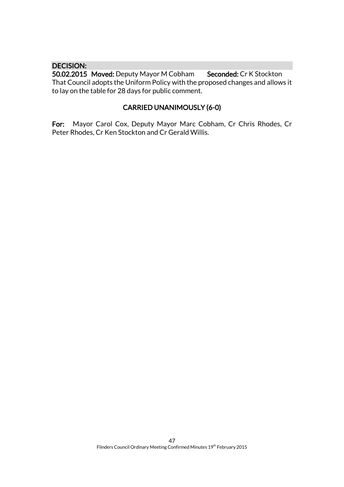#### DECISION:

50.02.2015 Moved: Deputy Mayor M Cobham Seconded: Cr K Stockton That Council adopts the Uniform Policy with the proposed changes and allows it to lay on the table for 28 days for public comment.

# CARRIED UNANIMOUSLY (6-0)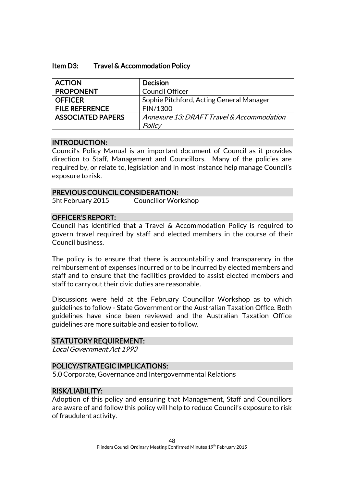#### Item D3: Travel & Accommodation Policy

| <b>ACTION</b>            | <b>Decision</b>                           |
|--------------------------|-------------------------------------------|
| <b>PROPONENT</b>         | <b>Council Officer</b>                    |
| <b>OFFICER</b>           | Sophie Pitchford, Acting General Manager  |
| <b>FILE REFERENCE</b>    | FIN/1300                                  |
| <b>ASSOCIATED PAPERS</b> | Annexure 13: DRAFT Travel & Accommodation |
|                          | Policy                                    |

#### INTRODUCTION:

Council's Policy Manual is an important document of Council as it provides direction to Staff, Management and Councillors. Many of the policies are required by, or relate to, legislation and in most instance help manage Council's exposure to risk.

#### PREVIOUS COUNCIL CONSIDERATION:

5ht February 2015 Councillor Workshop

#### OFFICER'S REPORT:

Council has identified that a Travel & Accommodation Policy is required to govern travel required by staff and elected members in the course of their Council business.

The policy is to ensure that there is accountability and transparency in the reimbursement of expenses incurred or to be incurred by elected members and staff and to ensure that the facilities provided to assist elected members and staff to carry out their civic duties are reasonable.

Discussions were held at the February Councillor Workshop as to which guidelines to follow - State Government or the Australian Taxation Office. Both guidelines have since been reviewed and the Australian Taxation Office guidelines are more suitable and easier to follow.

#### STATUTORY REQUIREMENT:

Local Government Act 1993

#### POLICY/STRATEGIC IMPLICATIONS:

5.0 Corporate, Governance and Intergovernmental Relations

#### RISK/LIABILITY:

Adoption of this policy and ensuring that Management, Staff and Councillors are aware of and follow this policy will help to reduce Council's exposure to risk of fraudulent activity.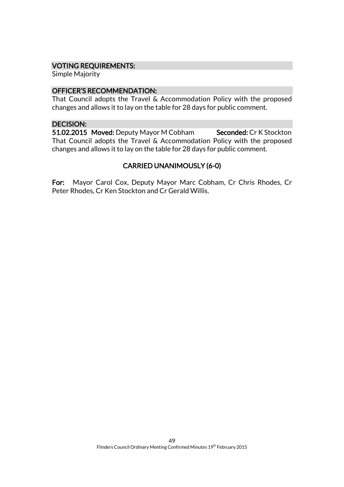### VOTING REQUIREMENTS:

Simple Majority

# OFFICER'S RECOMMENDATION:

That Council adopts the Travel & Accommodation Policy with the proposed changes and allows it to lay on the table for 28 days for public comment.

#### DECISION:

51.02.2015 Moved: Deputy Mayor M Cobham Seconded: Cr K Stockton That Council adopts the Travel & Accommodation Policy with the proposed changes and allows it to lay on the table for 28 days for public comment.

# CARRIED UNANIMOUSLY (6-0)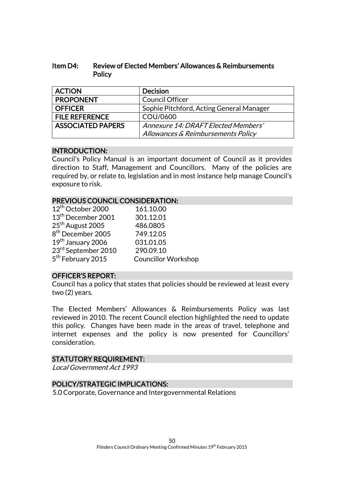# Item D4: Review of Elected Members' Allowances & Reimbursements **Policy**

| <b>ACTION</b>            | <b>Decision</b>                          |
|--------------------------|------------------------------------------|
| <b>PROPONENT</b>         | <b>Council Officer</b>                   |
| <b>OFFICER</b>           | Sophie Pitchford, Acting General Manager |
| <b>FILE REFERENCE</b>    | COU/0600                                 |
| <b>ASSOCIATED PAPERS</b> | Annexure 14: DRAFT Elected Members'      |
|                          | Allowances & Reimbursements Policy       |

# INTRODUCTION:

Council's Policy Manual is an important document of Council as it provides direction to Staff, Management and Councillors. Many of the policies are required by, or relate to, legislation and in most instance help manage Council's exposure to risk.

#### PREVIOUS COUNCIL CONSIDERATION:

| 12 <sup>th</sup> October 2000  | 161.10.00                  |
|--------------------------------|----------------------------|
| 13 <sup>th</sup> December 2001 | 301.12.01                  |
| 25 <sup>th</sup> August 2005   | 486.0805                   |
| 8 <sup>th</sup> December 2005  | 749.12.05                  |
| 19th January 2006              | 031.01.05                  |
| 23rd September 2010            | 290.09.10                  |
| 5 <sup>th</sup> February 2015  | <b>Councillor Workshop</b> |
|                                |                            |

# OFFICER'S REPORT:

Council has a policy that states that policies should be reviewed at least every two (2) years.

The Elected Members' Allowances & Reimbursements Policy was last reviewed in 2010. The recent Council election highlighted the need to update this policy. Changes have been made in the areas of travel, telephone and internet expenses and the policy is now presented for Councillors' consideration.

#### STATUTORY REQUIREMENT:

Local Government Act 1993

# POLICY/STRATEGIC IMPLICATIONS:

5.0 Corporate, Governance and Intergovernmental Relations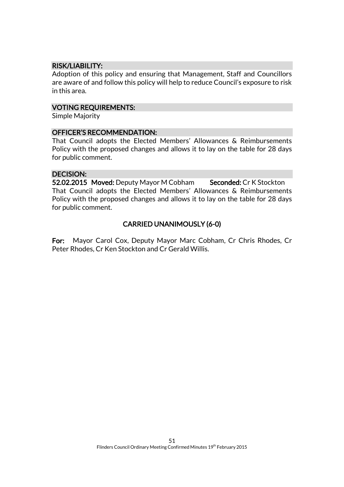# RISK/LIABILITY:

Adoption of this policy and ensuring that Management, Staff and Councillors are aware of and follow this policy will help to reduce Council's exposure to risk in this area.

#### VOTING REQUIREMENTS:

Simple Majority

#### OFFICER'S RECOMMENDATION:

That Council adopts the Elected Members' Allowances & Reimbursements Policy with the proposed changes and allows it to lay on the table for 28 days for public comment.

#### DECISION:

52.02.2015 Moved: Deputy Mayor M Cobham Seconded: Cr K Stockton That Council adopts the Elected Members' Allowances & Reimbursements Policy with the proposed changes and allows it to lay on the table for 28 days for public comment.

# CARRIED UNANIMOUSLY (6-0)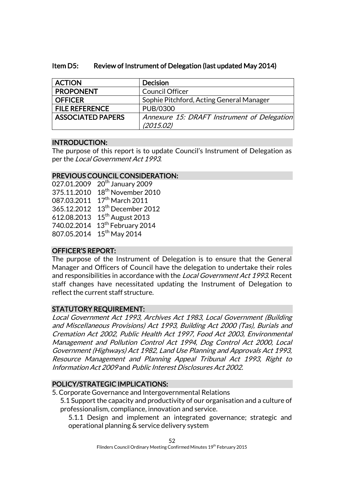# Item D5: Review of Instrument of Delegation (last updated May 2014)

| <b>ACTION</b>            | <b>Decision</b>                             |
|--------------------------|---------------------------------------------|
| <b>PROPONENT</b>         | <b>Council Officer</b>                      |
| <b>OFFICER</b>           | Sophie Pitchford, Acting General Manager    |
| <b>FILE REFERENCE</b>    | PUB/0300                                    |
| <b>ASSOCIATED PAPERS</b> | Annexure 15: DRAFT Instrument of Delegation |
|                          | (2015.02)                                   |

# INTRODUCTION:

The purpose of this report is to update Council's Instrument of Delegation as per the Local Government Act 1993.

# PREVIOUS COUNCIL CONSIDERATION:

| 027.01.2009 | 20 <sup>th</sup> January 2009  |
|-------------|--------------------------------|
| 375.11.2010 | 18 <sup>th</sup> November 2010 |
| 087.03.2011 | 17 <sup>th</sup> March 2011    |
| 365.12.2012 | 13 <sup>th</sup> December 2012 |
| 612.08.2013 | 15 <sup>th</sup> August 2013   |
| 740.02.2014 | 13 <sup>th</sup> February 2014 |
| 807.05.2014 | $15th$ May 2014                |
|             |                                |

# OFFICER'S REPORT:

The purpose of the Instrument of Delegation is to ensure that the General Manager and Officers of Council have the delegation to undertake their roles and responsibilities in accordance with the *Local Government Act 1993*. Recent staff changes have necessitated updating the Instrument of Delegation to reflect the current staff structure.

# STATUTORY REQUIREMENT:

Local Government Act 1993, Archives Act 1983, Local Government (Building and Miscellaneous Provisions) Act 1993, Building Act 2000 (Tas), Burials and Cremation Act 2002, Public Health Act 1997, Food Act 2003, Environmental Management and Pollution Control Act 1994, Dog Control Act 2000, Local Government (Highways) Act 1982, Land Use Planning and Approvals Act 1993, Resource Management and Planning Appeal Tribunal Act 1993, Right to Information Act 2009 and Public Interest Disclosures Act 2002.

# POLICY/STRATEGIC IMPLICATIONS:

5. Corporate Governance and Intergovernmental Relations

5.1 Support the capacity and productivity of our organisation and a culture of professionalism, compliance, innovation and service.

5.1.1 Design and implement an integrated governance; strategic and operational planning & service delivery system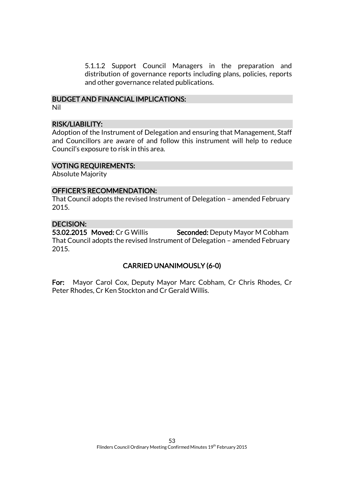5.1.1.2 Support Council Managers in the preparation and distribution of governance reports including plans, policies, reports and other governance related publications.

# BUDGET AND FINANCIAL IMPLICATIONS:

# Nil

# RISK/LIABILITY:

Adoption of the Instrument of Delegation and ensuring that Management, Staff and Councillors are aware of and follow this instrument will help to reduce Council's exposure to risk in this area.

#### VOTING REQUIREMENTS:

Absolute Majority

# OFFICER'S RECOMMENDATION:

That Council adopts the revised Instrument of Delegation – amended February 2015.

# DECISION:

53.02.2015 Moved: Cr G Willis Seconded: Deputy Mayor M Cobham That Council adopts the revised Instrument of Delegation – amended February 2015.

# CARRIED UNANIMOUSLY (6-0)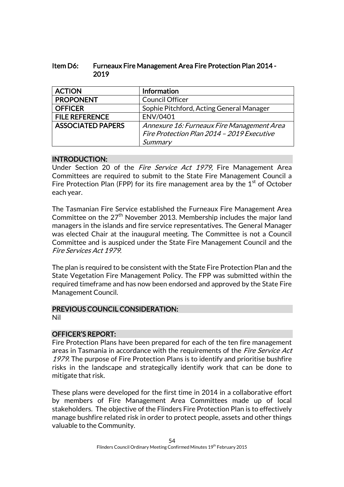| ltem D6: | <b>Furneaux Fire Management Area Fire Protection Plan 2014 -</b> |
|----------|------------------------------------------------------------------|
|          | 2019                                                             |

| <b>ACTION</b>            | <b>Information</b>                         |
|--------------------------|--------------------------------------------|
| <b>PROPONENT</b>         | <b>Council Officer</b>                     |
| <b>OFFICER</b>           | Sophie Pitchford, Acting General Manager   |
| <b>FILE REFERENCE</b>    | ENV/0401                                   |
| <b>ASSOCIATED PAPERS</b> | Annexure 16: Furneaux Fire Management Area |
|                          | Fire Protection Plan 2014 - 2019 Executive |
|                          | Summary                                    |

# INTRODUCTION:

Under Section 20 of the *Fire Service Act 1979*, Fire Management Area Committees are required to submit to the State Fire Management Council a Fire Protection Plan (FPP) for its fire management area by the  $1<sup>st</sup>$  of October each year.

The Tasmanian Fire Service established the Furneaux Fire Management Area Committee on the  $27<sup>th</sup>$  November 2013. Membership includes the major land managers in the islands and fire service representatives. The General Manager was elected Chair at the inaugural meeting. The Committee is not a Council Committee and is auspiced under the State Fire Management Council and the Fire Services Act 1979.

The plan is required to be consistent with the State Fire Protection Plan and the State Vegetation Fire Management Policy. The FPP was submitted within the required timeframe and has now been endorsed and approved by the State Fire Management Council.

# PREVIOUS COUNCIL CONSIDERATION:

Nil

# OFFICER'S REPORT:

Fire Protection Plans have been prepared for each of the ten fire management areas in Tasmania in accordance with the requirements of the *Fire Service Act* 1979. The purpose of Fire Protection Plans is to identify and prioritise bushfire risks in the landscape and strategically identify work that can be done to mitigate that risk.

These plans were developed for the first time in 2014 in a collaborative effort by members of Fire Management Area Committees made up of local stakeholders. The objective of the Flinders Fire Protection Plan is to effectively manage bushfire related risk in order to protect people, assets and other things valuable to the Community.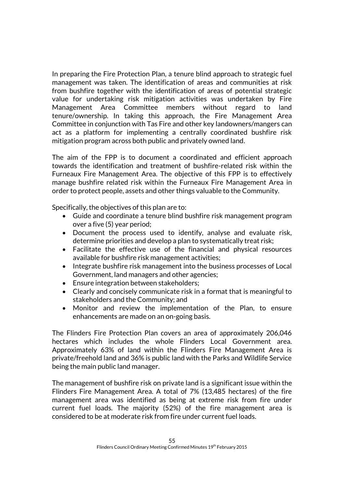In preparing the Fire Protection Plan, a tenure blind approach to strategic fuel management was taken. The identification of areas and communities at risk from bushfire together with the identification of areas of potential strategic value for undertaking risk mitigation activities was undertaken by Fire Management Area Committee members without regard to land tenure/ownership. In taking this approach, the Fire Management Area Committee in conjunction with Tas Fire and other key landowners/mangers can act as a platform for implementing a centrally coordinated bushfire risk mitigation program across both public and privately owned land.

The aim of the FPP is to document a coordinated and efficient approach towards the identification and treatment of bushfire-related risk within the Furneaux Fire Management Area. The objective of this FPP is to effectively manage bushfire related risk within the Furneaux Fire Management Area in order to protect people, assets and other things valuable to the Community.

Specifically, the objectives of this plan are to:

- Guide and coordinate a tenure blind bushfire risk management program over a five (5) year period;
- Document the process used to identify, analyse and evaluate risk, determine priorities and develop a plan to systematically treat risk;
- Facilitate the effective use of the financial and physical resources available for bushfire risk management activities;
- Integrate bushfire risk management into the business processes of Local Government, land managers and other agencies;
- Ensure integration between stakeholders;
- Clearly and concisely communicate risk in a format that is meaningful to stakeholders and the Community; and
- Monitor and review the implementation of the Plan, to ensure enhancements are made on an on-going basis.

The Flinders Fire Protection Plan covers an area of approximately 206,046 hectares which includes the whole Flinders Local Government area. Approximately 63% of land within the Flinders Fire Management Area is private/freehold land and 36% is public land with the Parks and Wildlife Service being the main public land manager.

The management of bushfire risk on private land is a significant issue within the Flinders Fire Management Area. A total of 7% (13,485 hectares) of the fire management area was identified as being at extreme risk from fire under current fuel loads. The majority (52%) of the fire management area is considered to be at moderate risk from fire under current fuel loads.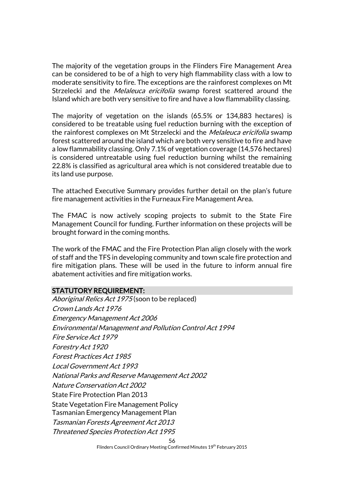The majority of the vegetation groups in the Flinders Fire Management Area can be considered to be of a high to very high flammability class with a low to moderate sensitivity to fire. The exceptions are the rainforest complexes on Mt Strzelecki and the *Melaleuca ericifolia* swamp forest scattered around the Island which are both very sensitive to fire and have a low flammability classing.

The majority of vegetation on the islands (65.5% or 134,883 hectares) is considered to be treatable using fuel reduction burning with the exception of the rainforest complexes on Mt Strzelecki and the *Melaleuca ericifolia* swamp forest scattered around the island which are both very sensitive to fire and have a low flammability classing. Only 7.1% of vegetation coverage (14,576 hectares) is considered untreatable using fuel reduction burning whilst the remaining 22.8% is classified as agricultural area which is not considered treatable due to its land use purpose.

The attached Executive Summary provides further detail on the plan's future fire management activities in the Furneaux Fire Management Area.

The FMAC is now actively scoping projects to submit to the State Fire Management Council for funding. Further information on these projects will be brought forward in the coming months.

The work of the FMAC and the Fire Protection Plan align closely with the work of staff and the TFS in developing community and town scale fire protection and fire mitigation plans. These will be used in the future to inform annual fire abatement activities and fire mitigation works.

#### STATUTORY REQUIREMENT:

56 Aboriginal Relics Act 1975 (soon to be replaced) Crown Lands Act 1976 Emergency Management Act 2006 Environmental Management and Pollution Control Act 1994 Fire Service Act 1979 Forestry Act 1920 Forest Practices Act 1985 Local Government Act 1993 National Parks and Reserve Management Act 2002 Nature Conservation Act 2002 State Fire Protection Plan 2013 State Vegetation Fire Management Policy Tasmanian Emergency Management Plan Tasmanian Forests Agreement Act 2013 Threatened Species Protection Act 1995

Flinders Council Ordinary Meeting Confirmed Minutes 19th February 2015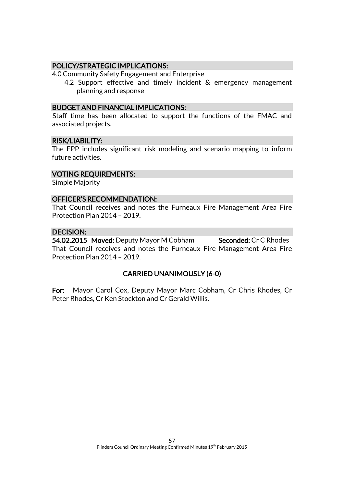# POLICY/STRATEGIC IMPLICATIONS:

4.0 Community Safety Engagement and Enterprise

4.2 Support effective and timely incident & emergency management planning and response

#### BUDGET AND FINANCIAL IMPLICATIONS:

Staff time has been allocated to support the functions of the FMAC and associated projects.

#### RISK/LIABILITY:

The FPP includes significant risk modeling and scenario mapping to inform future activities.

#### VOTING REQUIREMENTS:

Simple Majority

#### OFFICER'S RECOMMENDATION:

That Council receives and notes the Furneaux Fire Management Area Fire Protection Plan 2014 – 2019.

# DECISION:

54.02.2015 Moved: Deputy Mayor M Cobham Seconded: Cr C Rhodes That Council receives and notes the Furneaux Fire Management Area Fire Protection Plan 2014 – 2019.

# CARRIED UNANIMOUSLY (6-0)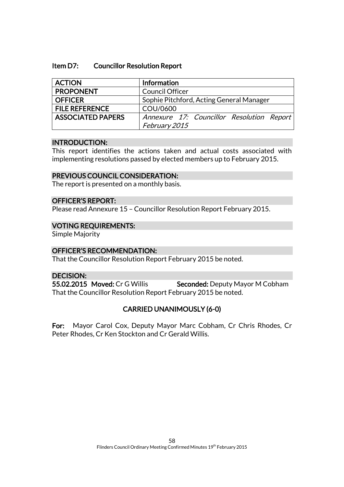#### Item D7: Councillor Resolution Report

| <b>ACTION</b>            | Information                               |
|--------------------------|-------------------------------------------|
| <b>PROPONENT</b>         | <b>Council Officer</b>                    |
| <b>OFFICER</b>           | Sophie Pitchford, Acting General Manager  |
| <b>FILE REFERENCE</b>    | COU/0600                                  |
| <b>ASSOCIATED PAPERS</b> | Annexure 17: Councillor Resolution Report |
|                          | February 2015                             |

#### INTRODUCTION:

This report identifies the actions taken and actual costs associated with implementing resolutions passed by elected members up to February 2015.

#### PREVIOUS COUNCIL CONSIDERATION:

The report is presented on a monthly basis.

#### OFFICER'S REPORT:

Please read Annexure 15 – Councillor Resolution Report February 2015.

#### VOTING REQUIREMENTS:

Simple Majority

#### OFFICER'S RECOMMENDATION:

That the Councillor Resolution Report February 2015 be noted.

# DECISION:

55.02.2015 Moved: Cr G Willis Seconded: Deputy Mayor M Cobham That the Councillor Resolution Report February 2015 be noted.

# CARRIED UNANIMOUSLY (6-0)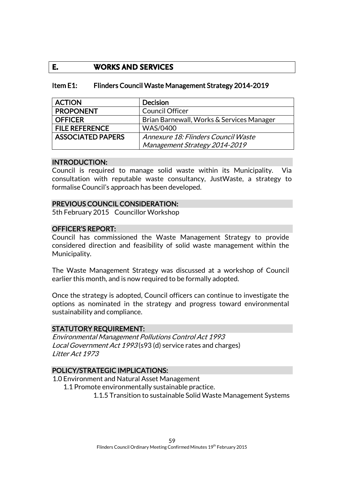# **E. WORKS AND SERVICES**

### Item E1: Flinders Council Waste Management Strategy 2014-2019

| <b>ACTION</b>            | <b>Decision</b>                           |
|--------------------------|-------------------------------------------|
| <b>PROPONENT</b>         | <b>Council Officer</b>                    |
| <b>OFFICER</b>           | Brian Barnewall, Works & Services Manager |
| <b>FILE REFERENCE</b>    | <b>WAS/0400</b>                           |
| <b>ASSOCIATED PAPERS</b> | Annexure 18: Flinders Council Waste       |
|                          | Management Strategy 2014-2019             |

#### INTRODUCTION:

Council is required to manage solid waste within its Municipality. Via consultation with reputable waste consultancy, JustWaste, a strategy to formalise Council's approach has been developed.

#### PREVIOUS COUNCIL CONSIDERATION:

5th February 2015 Councillor Workshop

#### OFFICER'S REPORT:

Council has commissioned the Waste Management Strategy to provide considered direction and feasibility of solid waste management within the Municipality.

The Waste Management Strategy was discussed at a workshop of Council earlier this month, and is now required to be formally adopted.

Once the strategy is adopted, Council officers can continue to investigate the options as nominated in the strategy and progress toward environmental sustainability and compliance.

#### STATUTORY REQUIREMENT:

Environmental Management Pollutions Control Act 1993 Local Government Act 1993 (s93 (d) service rates and charges) Litter Act 1973

#### POLICY/STRATEGIC IMPLICATIONS:

1.0 Environment and Natural Asset Management

1.1 Promote environmentally sustainable practice.

1.1.5 Transition to sustainable Solid Waste Management Systems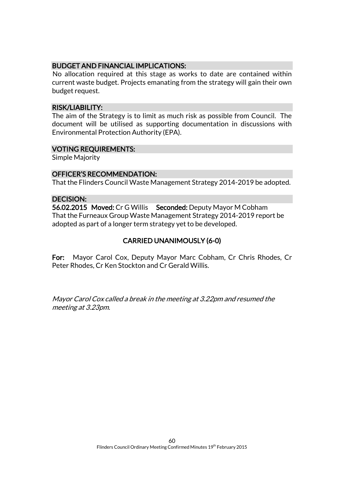# BUDGET AND FINANCIAL IMPLICATIONS:

No allocation required at this stage as works to date are contained within current waste budget. Projects emanating from the strategy will gain their own budget request.

#### RISK/LIABILITY:

The aim of the Strategy is to limit as much risk as possible from Council. The document will be utilised as supporting documentation in discussions with Environmental Protection Authority (EPA).

#### VOTING REQUIREMENTS:

Simple Majority

## OFFICER'S RECOMMENDATION:

That the Flinders Council Waste Management Strategy 2014-2019 be adopted.

#### DECISION:

56.02.2015 Moved: Cr G Willis Seconded: Deputy Mayor M Cobham That the Furneaux Group Waste Management Strategy 2014-2019 report be adopted as part of a longer term strategy yet to be developed.

# CARRIED UNANIMOUSLY (6-0)

For: Mayor Carol Cox, Deputy Mayor Marc Cobham, Cr Chris Rhodes, Cr Peter Rhodes, Cr Ken Stockton and Cr Gerald Willis.

Mayor Carol Cox called a break in the meeting at 3.22pm and resumed the meeting at 3.23pm.